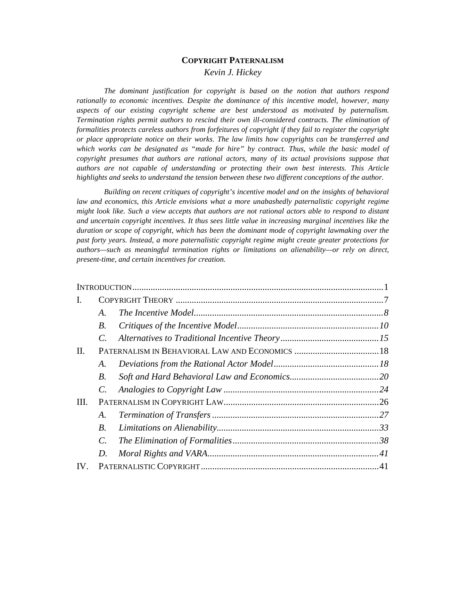# **COPYRIGHT PATERNALISM** *Kevin J. Hickey*

*The dominant justification for copyright is based on the notion that authors respond rationally to economic incentives. Despite the dominance of this incentive model, however, many aspects of our existing copyright scheme are best understood as motivated by paternalism. Termination rights permit authors to rescind their own ill-considered contracts. The elimination of formalities protects careless authors from forfeitures of copyright if they fail to register the copyright or place appropriate notice on their works. The law limits how copyrights can be transferred and which works can be designated as "made for hire" by contract. Thus, while the basic model of copyright presumes that authors are rational actors, many of its actual provisions suppose that authors are not capable of understanding or protecting their own best interests. This Article highlights and seeks to understand the tension between these two different conceptions of the author.*

*Building on recent critiques of copyright's incentive model and on the insights of behavioral law and economics, this Article envisions what a more unabashedly paternalistic copyright regime might look like. Such a view accepts that authors are not rational actors able to respond to distant and uncertain copyright incentives. It thus sees little value in increasing marginal incentives like the duration or scope of copyright, which has been the dominant mode of copyright lawmaking over the past forty years. Instead, a more paternalistic copyright regime might create greater protections for authors—such as meaningful termination rights or limitations on alienability—or rely on direct, present-time, and certain incentives for creation.*

| Ι.       |             |  |  |
|----------|-------------|--|--|
|          | A.          |  |  |
|          | <i>B</i> .  |  |  |
|          | C.          |  |  |
| II.      |             |  |  |
|          | А.          |  |  |
|          | В.          |  |  |
|          | $C_{\cdot}$ |  |  |
| III.     |             |  |  |
|          | A.          |  |  |
|          | B.          |  |  |
|          | $C_{\cdot}$ |  |  |
|          | D.          |  |  |
| $IV_{-}$ |             |  |  |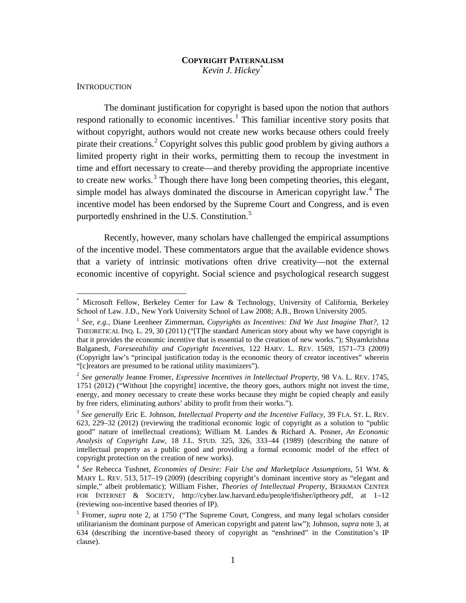# <span id="page-1-10"></span><span id="page-1-9"></span>**COPYRIGHT PATERNALISM** *Kevin J. Hickey*[\\*](#page-1-3)

#### <span id="page-1-0"></span>**INTRODUCTION**

<span id="page-1-1"></span>The dominant justification for copyright is based upon the notion that authors respond rationally to economic incentives.<sup>[1](#page-1-4)</sup> This familiar incentive story posits that without copyright, authors would not create new works because others could freely pirate their creations.<sup>[2](#page-1-5)</sup> Copyright solves this public good problem by giving authors a limited property right in their works, permitting them to recoup the investment in time and effort necessary to create—and thereby providing the appropriate incentive to create new works.<sup>[3](#page-1-6)</sup> Though there have long been competing theories, this elegant, simple model has always dominated the discourse in American copyright law.<sup>[4](#page-1-7)</sup> The incentive model has been endorsed by the Supreme Court and Congress, and is even purportedly enshrined in the U.S. Constitution.<sup>[5](#page-1-8)</sup>

<span id="page-1-2"></span>Recently, however, many scholars have challenged the empirical assumptions of the incentive model. These commentators argue that the available evidence shows that a variety of intrinsic motivations often drive creativity—not the external economic incentive of copyright. Social science and psychological research suggest

<span id="page-1-3"></span>Microsoft Fellow, Berkeley Center for Law & Technology, University of California, Berkeley School of Law. J.D., New York University School of Law 2008; A.B., Brown University 2005.

<span id="page-1-4"></span><sup>1</sup> *See, e.g.*, Diane Leenheer Zimmerman, *Copyrights as Incentives: Did We Just Imagine That?*, 12 THEORETICAL INQ. L. 29, 30 (2011) ("[T]he standard American story about why we have copyright is that it provides the economic incentive that is essential to the creation of new works."); Shyamkrishna Balganesh, *Foreseeability and Copyright Incentives*, 122 HARV. L. REV. 1569, 1571–73 (2009) (Copyright law's "principal justification today is the economic theory of creator incentives" wherein "[c]reators are presumed to be rational utility maximizers").

<span id="page-1-5"></span><sup>2</sup> *See generally* Jeanne Fromer, *Expressive Incentives in Intellectual Property*, 98 VA. L. REV. 1745, 1751 (2012) ("Without [the copyright] incentive, the theory goes, authors might not invest the time, energy, and money necessary to create these works because they might be copied cheaply and easily by free riders, eliminating authors' ability to profit from their works.").

<span id="page-1-6"></span><sup>3</sup> *See generally* Eric E. Johnson, *Intellectual Property and the Incentive Fallacy*, 39 FLA. ST. L. REV. 623, 229–32 (2012) (reviewing the traditional economic logic of copyright as a solution to "public good" nature of intellectual creations); William M. Landes & Richard A. Posner, *An Economic Analysis of Copyright Law*, 18 J.L. STUD. 325, 326, 333–44 (1989) (describing the nature of intellectual property as a public good and providing a formal economic model of the effect of copyright protection on the creation of new works).

<span id="page-1-7"></span><sup>4</sup> *See* Rebecca Tushnet, *Economies of Desire: Fair Use and Marketplace Assumptions*, 51 WM. & MARY L. REV. 513, 517–19 (2009) (describing copyright's dominant incentive story as "elegant and simple," albeit problematic); William Fisher, *Theories of Intellectual Property*, BERKMAN CENTER FOR INTERNET & SOCIETY, http://cyber.law.harvard.edu/people/tfisher/iptheory.pdf, at 1–12 (reviewing non-incentive based theories of IP).

<span id="page-1-8"></span><sup>&</sup>lt;sup>5</sup> Fromer, *supra* note [2,](#page-1-1) at 1750 ("The Supreme Court, Congress, and many legal scholars consider utilitarianism the dominant purpose of American copyright and patent law"); Johnson, *supra* note [3,](#page-1-2) at 634 (describing the incentive-based theory of copyright as "enshrined" in the Constitution's IP clause).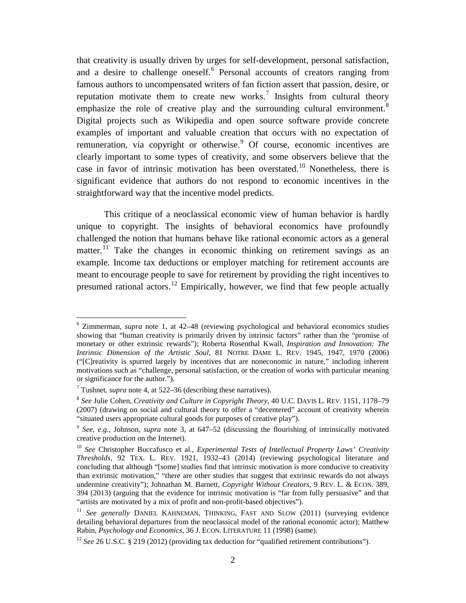<span id="page-2-9"></span><span id="page-2-7"></span>that creativity is usually driven by urges for self-development, personal satisfaction, and a desire to challenge oneself. [6](#page-2-0) Personal accounts of creators ranging from famous authors to uncompensated writers of fan fiction assert that passion, desire, or reputation motivate them to create new works.<sup>[7](#page-2-1)</sup> Insights from cultural theory emphasize the role of creative play and the surrounding cultural environment.<sup>[8](#page-2-2)</sup> Digital projects such as Wikipedia and open source software provide concrete examples of important and valuable creation that occurs with no expectation of remuneration, via copyright or otherwise.<sup>[9](#page-2-3)</sup> Of course, economic incentives are clearly important to some types of creativity, and some observers believe that the case in favor of intrinsic motivation has been overstated. [10](#page-2-4) Nonetheless, there is significant evidence that authors do not respond to economic incentives in the straightforward way that the incentive model predicts.

<span id="page-2-10"></span><span id="page-2-8"></span>This critique of a neoclassical economic view of human behavior is hardly unique to copyright. The insights of behavioral economics have profoundly challenged the notion that humans behave like rational economic actors as a general matter.<sup>[11](#page-2-5)</sup> Take the changes in economic thinking on retirement savings as an example. Income tax deductions or employer matching for retirement accounts are meant to encourage people to save for retirement by providing the right incentives to presumed rational actors.<sup>[12](#page-2-6)</sup> Empirically, however, we find that few people actually

<span id="page-2-0"></span> <sup>6</sup> Zimmerman, *supra* note [1,](#page-1-9) at 42–48 (reviewing psychological and behavioral economics studies showing that "human creativity is primarily driven by intrinsic factors" rather than the "promise of monetary or other extrinsic rewards"); Roberta Rosenthal Kwall, *Inspiration and Innovation: The Intrinsic Dimension of the Artistic Soul*, 81 NOTRE DAME L. REV. 1945, 1947, 1970 (2006) ("[C]reativity is spurred largely by incentives that are noneconomic in nature," including inherent motivations such as "challenge, personal satisfaction, or the creation of works with particular meaning or significance for the author.").

<span id="page-2-1"></span><sup>7</sup> Tushnet, *supra* note [4,](#page-1-10) at 522–36 (describing these narratives).

<span id="page-2-2"></span><sup>8</sup> *See* Julie Cohen, *Creativity and Culture in Copyright Theory*, 40 U.C. DAVIS L. REV. 1151, 1178–79 (2007) (drawing on social and cultural theory to offer a "decentered" account of creativity wherein "situated users appropriate cultural goods for purposes of creative play").

<span id="page-2-3"></span><sup>9</sup> *See, e.g.*, Johnson, *supra* note [3,](#page-1-2) at 647–52 (discussing the flourishing of intrinsically motivated creative production on the Internet).

<span id="page-2-4"></span><sup>10</sup> *See* Christopher Buccafusco et al., *Experimental Tests of Intellectual Property Laws' Creativity Thresholds*, 92 TEX. L. REV. 1921, 1932–43 (2014) (reviewing psychological literature and concluding that although "[some] studies find that intrinsic motivation is more conducive to creativity than extrinsic motivation," "there are other studies that suggest that extrinsic rewards do not always undermine creativity"); Johnathan M. Barnett, *Copyright Without Creators*, 9 REV. L. & ECON. 389, 394 (2013) (arguing that the evidence for intrinsic motivation is "far from fully persuasive" and that "artists are motivated by a mix of profit and non-profit-based objectives").

<span id="page-2-5"></span><sup>&</sup>lt;sup>11</sup> See generally DANIEL KAHNEMAN, THINKING, FAST AND SLOW (2011) (surveying evidence detailing behavioral departures from the neoclassical model of the rational economic actor); Matthew Rabin, *Psychology and Economics*, 36 J. ECON. LITERATURE 11 (1998) (same).

<span id="page-2-6"></span><sup>&</sup>lt;sup>12</sup> *See* 26 U.S.C. § 219 (2012) (providing tax deduction for "qualified retirement contributions").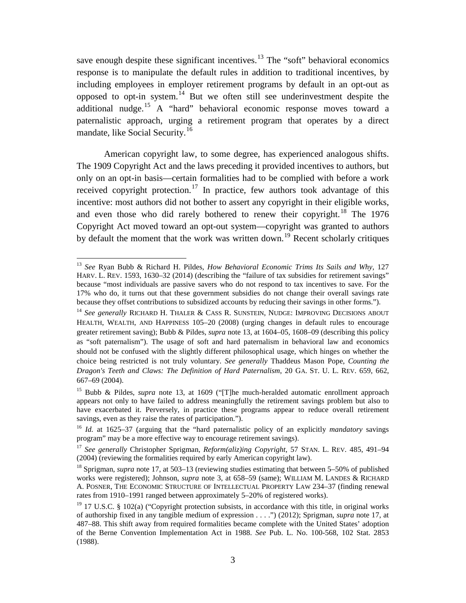<span id="page-3-11"></span><span id="page-3-0"></span>save enough despite these significant incentives.<sup>[13](#page-3-2)</sup> The "soft" behavioral economics response is to manipulate the default rules in addition to traditional incentives, by including employees in employer retirement programs by default in an opt-out as opposed to opt-in system.<sup>[14](#page-3-3)</sup> But we often still see underinvestment despite the additional nudge.<sup>[15](#page-3-4)</sup> A "hard" behavioral economic response moves toward a paternalistic approach, urging a retirement program that operates by a direct mandate, like Social Security. [16](#page-3-5)

<span id="page-3-1"></span>American copyright law, to some degree, has experienced analogous shifts. The 1909 Copyright Act and the laws preceding it provided incentives to authors, but only on an opt-in basis—certain formalities had to be complied with before a work received copyright protection.<sup>[17](#page-3-6)</sup> In practice, few authors took advantage of this incentive: most authors did not bother to assert any copyright in their eligible works, and even those who did rarely bothered to renew their copyright.<sup>[18](#page-3-7)</sup> The 1976 Copyright Act moved toward an opt-out system—copyright was granted to authors by default the moment that the work was written down.<sup>[19](#page-3-8)</sup> Recent scholarly critiques

<span id="page-3-10"></span><span id="page-3-9"></span><span id="page-3-2"></span> <sup>13</sup> *See* Ryan Bubb & Richard H. Pildes, *How Behavioral Economic Trims Its Sails and Why*, 127 HARV. L. REV. 1593, 1630–32 (2014) (describing the "failure of tax subsidies for retirement savings" because "most individuals are passive savers who do not respond to tax incentives to save. For the 17% who do, it turns out that these government subsidies do not change their overall savings rate because they offset contributions to subsidized accounts by reducing their savings in other forms.").

<span id="page-3-3"></span><sup>14</sup> *See generally* RICHARD H. THALER & CASS R. SUNSTEIN, NUDGE: IMPROVING DECISIONS ABOUT HEALTH, WEALTH, AND HAPPINESS 105–20 (2008) (urging changes in default rules to encourage greater retirement saving); Bubb & Pildes, *supra* note [13,](#page-3-0) at 1604–05, 1608–09 (describing this policy as "soft paternalism"). The usage of soft and hard paternalism in behavioral law and economics should not be confused with the slightly different philosophical usage, which hinges on whether the choice being restricted is not truly voluntary. *See generally* Thaddeus Mason Pope, *Counting the Dragon's Teeth and Claws: The Definition of Hard Paternalism*, 20 GA. ST. U. L. REV. 659, 662, 667–69 (2004).

<span id="page-3-4"></span><sup>&</sup>lt;sup>15</sup> Bubb & Pildes, *supra* note [13,](#page-3-0) at 1609 ("The much-heralded automatic enrollment approach appears not only to have failed to address meaningfully the retirement savings problem but also to have exacerbated it. Perversely, in practice these programs appear to reduce overall retirement savings, even as they raise the rates of participation.").

<span id="page-3-5"></span><sup>16</sup> *Id.* at 1625–37 (arguing that the "hard paternalistic policy of an explicitly *mandatory* savings program" may be a more effective way to encourage retirement savings).

<span id="page-3-6"></span><sup>17</sup> *See generally* Christopher Sprigman, *Reform(aliz)ing Copyright*, 57 STAN. L. REV. 485, 491–94 (2004) (reviewing the formalities required by early American copyright law).

<span id="page-3-7"></span><sup>18</sup> Sprigman, *supra* note [17,](#page-3-1) at 503–13 (reviewing studies estimating that between 5–50% of published works were registered); Johnson, *supra* note [3,](#page-1-2) at 658–59 (same); WILLIAM M. LANDES & RICHARD A. POSNER, THE ECONOMIC STRUCTURE OF INTELLECTUAL PROPERTY LAW 234–37 (finding renewal rates from 1910–1991 ranged between approximately 5–20% of registered works).

<span id="page-3-8"></span> $19$  17 U.S.C. § 102(a) ("Copyright protection subsists, in accordance with this title, in original works of authorship fixed in any tangible medium of expression . . . .") (2012); Sprigman, *supra* note [17,](#page-3-1) at 487–88. This shift away from required formalities became complete with the United States' adoption of the Berne Convention Implementation Act in 1988. *See* Pub. L. No. 100-568, 102 Stat. 2853 (1988).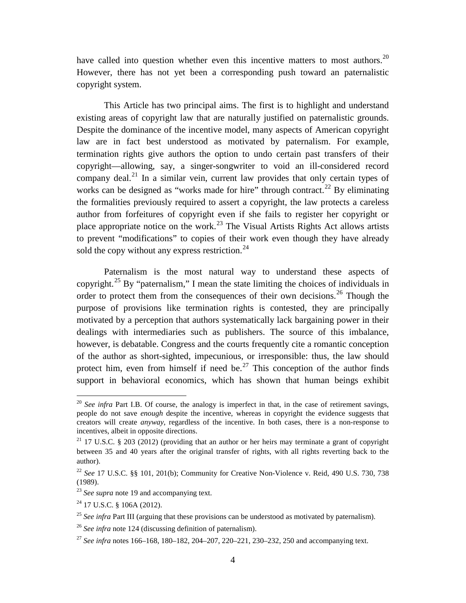have called into question whether even this incentive matters to most authors.<sup>[20](#page-4-0)</sup> However, there has not yet been a corresponding push toward an paternalistic copyright system.

This Article has two principal aims. The first is to highlight and understand existing areas of copyright law that are naturally justified on paternalistic grounds. Despite the dominance of the incentive model, many aspects of American copyright law are in fact best understood as motivated by paternalism. For example, termination rights give authors the option to undo certain past transfers of their copyright—allowing, say, a singer-songwriter to void an ill-considered record company deal.<sup>[21](#page-4-1)</sup> In a similar vein, current law provides that only certain types of works can be designed as "works made for hire" through contract.<sup>[22](#page-4-2)</sup> By eliminating the formalities previously required to assert a copyright, the law protects a careless author from forfeitures of copyright even if she fails to register her copyright or place appropriate notice on the work.<sup>[23](#page-4-3)</sup> The Visual Artists Rights Act allows artists to prevent "modifications" to copies of their work even though they have already sold the copy without any express restriction. $^{24}$  $^{24}$  $^{24}$ 

Paternalism is the most natural way to understand these aspects of copyright.<sup>[25](#page-4-5)</sup> By "paternalism," I mean the state limiting the choices of individuals in order to protect them from the consequences of their own decisions.<sup>[26](#page-4-6)</sup> Though the purpose of provisions like termination rights is contested, they are principally motivated by a perception that authors systematically lack bargaining power in their dealings with intermediaries such as publishers. The source of this imbalance, however, is debatable. Congress and the courts frequently cite a romantic conception of the author as short-sighted, impecunious, or irresponsible: thus, the law should protect him, even from himself if need be.<sup>[27](#page-4-7)</sup> This conception of the author finds support in behavioral economics, which has shown that human beings exhibit

<span id="page-4-0"></span><sup>&</sup>lt;sup>20</sup> *See infra* Part I.B. Of course, the analogy is imperfect in that, in the case of retirement savings, people do not save *enough* despite the incentive, whereas in copyright the evidence suggests that creators will create *anyway*, regardless of the incentive. In both cases, there is a non-response to incentives, albeit in opposite directions.

<span id="page-4-1"></span><sup>&</sup>lt;sup>21</sup> 17 U.S.C. § 203 (2012) (providing that an author or her heirs may terminate a grant of copyright between 35 and 40 years after the original transfer of rights, with all rights reverting back to the author).

<span id="page-4-2"></span><sup>22</sup> *See* 17 U.S.C. §§ 101, 201(b); Community for Creative Non-Violence v. Reid, 490 U.S. 730, 738 (1989).

<span id="page-4-3"></span><sup>&</sup>lt;sup>23</sup> *See supra* note [19](#page-3-9) and accompanying text.

<span id="page-4-4"></span><sup>24</sup> 17 U.S.C. § 106A (2012).

<span id="page-4-5"></span><sup>&</sup>lt;sup>25</sup> See infra Par[t III](#page-26-0) (arguing that these provisions can be understood as motivated by paternalism).

<span id="page-4-6"></span><sup>&</sup>lt;sup>26</sup> *See infra* note [124](#page-20-1) (discussing definition of paternalism).

<span id="page-4-7"></span><sup>27</sup> *See infra* note[s 166](#page-28-0)[–168,](#page-28-1) [180](#page-30-0)[–182,](#page-30-1) [204](#page-34-0)[–207,](#page-34-1) [220](#page-35-0)[–221,](#page-36-0) [230](#page-37-0)[–232,](#page-37-1) [250](#page-40-0) and accompanying text.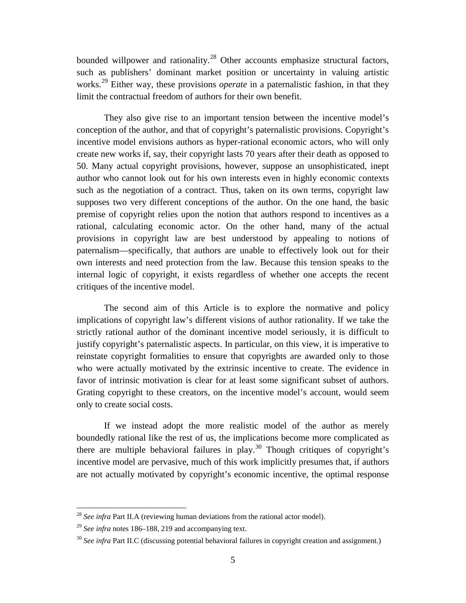bounded willpower and rationality.<sup>[28](#page-5-0)</sup> Other accounts emphasize structural factors, such as publishers' dominant market position or uncertainty in valuing artistic works.<sup>[29](#page-5-1)</sup> Either way, these provisions *operate* in a paternalistic fashion, in that they limit the contractual freedom of authors for their own benefit.

They also give rise to an important tension between the incentive model's conception of the author, and that of copyright's paternalistic provisions. Copyright's incentive model envisions authors as hyper-rational economic actors, who will only create new works if, say, their copyright lasts 70 years after their death as opposed to 50. Many actual copyright provisions, however, suppose an unsophisticated, inept author who cannot look out for his own interests even in highly economic contexts such as the negotiation of a contract. Thus, taken on its own terms, copyright law supposes two very different conceptions of the author. On the one hand, the basic premise of copyright relies upon the notion that authors respond to incentives as a rational, calculating economic actor. On the other hand, many of the actual provisions in copyright law are best understood by appealing to notions of paternalism—specifically, that authors are unable to effectively look out for their own interests and need protection from the law. Because this tension speaks to the internal logic of copyright, it exists regardless of whether one accepts the recent critiques of the incentive model.

The second aim of this Article is to explore the normative and policy implications of copyright law's different visions of author rationality. If we take the strictly rational author of the dominant incentive model seriously, it is difficult to justify copyright's paternalistic aspects. In particular, on this view, it is imperative to reinstate copyright formalities to ensure that copyrights are awarded only to those who were actually motivated by the extrinsic incentive to create. The evidence in favor of intrinsic motivation is clear for at least some significant subset of authors. Grating copyright to these creators, on the incentive model's account, would seem only to create social costs.

If we instead adopt the more realistic model of the author as merely boundedly rational like the rest of us, the implications become more complicated as there are multiple behavioral failures in play.<sup>[30](#page-5-2)</sup> Though critiques of copyright's incentive model are pervasive, much of this work implicitly presumes that, if authors are not actually motivated by copyright's economic incentive, the optimal response

<span id="page-5-0"></span> <sup>28</sup> *See infra* Part II.A (reviewing human deviations from the rational actor model).

<span id="page-5-1"></span><sup>29</sup> *See infra* note[s 186](#page-31-0)[–188,](#page-31-1) [219](#page-35-1) and accompanying text.

<span id="page-5-2"></span><sup>&</sup>lt;sup>30</sup> See infra Part II.C (discussing potential behavioral failures in copyright creation and assignment.)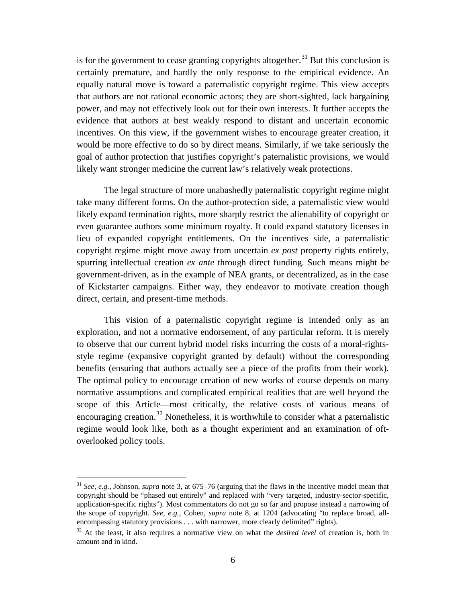is for the government to cease granting copyrights altogether.<sup>[31](#page-6-0)</sup> But this conclusion is certainly premature, and hardly the only response to the empirical evidence. An equally natural move is toward a paternalistic copyright regime. This view accepts that authors are not rational economic actors; they are short-sighted, lack bargaining power, and may not effectively look out for their own interests. It further accepts the evidence that authors at best weakly respond to distant and uncertain economic incentives. On this view, if the government wishes to encourage greater creation, it would be more effective to do so by direct means. Similarly, if we take seriously the goal of author protection that justifies copyright's paternalistic provisions, we would likely want stronger medicine the current law's relatively weak protections.

The legal structure of more unabashedly paternalistic copyright regime might take many different forms. On the author-protection side, a paternalistic view would likely expand termination rights, more sharply restrict the alienability of copyright or even guarantee authors some minimum royalty. It could expand statutory licenses in lieu of expanded copyright entitlements. On the incentives side, a paternalistic copyright regime might move away from uncertain *ex post* property rights entirely, spurring intellectual creation *ex ante* through direct funding. Such means might be government-driven, as in the example of NEA grants, or decentralized, as in the case of Kickstarter campaigns. Either way, they endeavor to motivate creation though direct, certain, and present-time methods.

This vision of a paternalistic copyright regime is intended only as an exploration, and not a normative endorsement, of any particular reform. It is merely to observe that our current hybrid model risks incurring the costs of a moral-rightsstyle regime (expansive copyright granted by default) without the corresponding benefits (ensuring that authors actually see a piece of the profits from their work). The optimal policy to encourage creation of new works of course depends on many normative assumptions and complicated empirical realities that are well beyond the scope of this Article—most critically, the relative costs of various means of encouraging creation.<sup>[32](#page-6-1)</sup> Nonetheless, it is worthwhile to consider what a paternalistic regime would look like, both as a thought experiment and an examination of oftoverlooked policy tools.

<span id="page-6-0"></span> <sup>31</sup> *See, e.g.*, Johnson, *supra* note [3,](#page-1-2) at 675–76 (arguing that the flaws in the incentive model mean that copyright should be "phased out entirely" and replaced with "very targeted, industry-sector-specific, application-specific rights"). Most commentators do not go so far and propose instead a narrowing of the scope of copyright. *See, e.g.,* Cohen, *supra* note [8,](#page-2-7) at 1204 (advocating "to replace broad, allencompassing statutory provisions . . . with narrower, more clearly delimited" rights).

<span id="page-6-1"></span><sup>32</sup> At the least, it also requires a normative view on what the *desired level* of creation is, both in amount and in kind.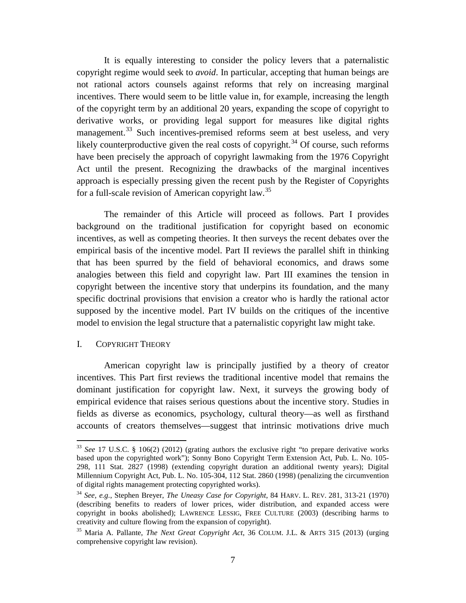It is equally interesting to consider the policy levers that a paternalistic copyright regime would seek to *avoid*. In particular, accepting that human beings are not rational actors counsels against reforms that rely on increasing marginal incentives. There would seem to be little value in, for example, increasing the length of the copyright term by an additional 20 years, expanding the scope of copyright to derivative works, or providing legal support for measures like digital rights management.<sup>[33](#page-7-1)</sup> Such incentives-premised reforms seem at best useless, and very likely counterproductive given the real costs of copyright.<sup>[34](#page-7-2)</sup> Of course, such reforms have been precisely the approach of copyright lawmaking from the 1976 Copyright Act until the present. Recognizing the drawbacks of the marginal incentives approach is especially pressing given the recent push by the Register of Copyrights for a full-scale revision of American copyright law.<sup>[35](#page-7-3)</sup>

The remainder of this Article will proceed as follows. Part I provides background on the traditional justification for copyright based on economic incentives, as well as competing theories. It then surveys the recent debates over the empirical basis of the incentive model. Part II reviews the parallel shift in thinking that has been spurred by the field of behavioral economics, and draws some analogies between this field and copyright law. Part III examines the tension in copyright between the incentive story that underpins its foundation, and the many specific doctrinal provisions that envision a creator who is hardly the rational actor supposed by the incentive model. Part IV builds on the critiques of the incentive model to envision the legal structure that a paternalistic copyright law might take.

### <span id="page-7-0"></span>I. COPYRIGHT THEORY

American copyright law is principally justified by a theory of creator incentives. This Part first reviews the traditional incentive model that remains the dominant justification for copyright law. Next, it surveys the growing body of empirical evidence that raises serious questions about the incentive story. Studies in fields as diverse as economics, psychology, cultural theory—as well as firsthand accounts of creators themselves—suggest that intrinsic motivations drive much

<span id="page-7-1"></span> <sup>33</sup> *See* 17 U.S.C. § 106(2) (2012) (grating authors the exclusive right "to prepare derivative works based upon the copyrighted work"); Sonny Bono Copyright Term Extension Act, Pub. L. No. 105- 298, 111 Stat. 2827 (1998) (extending copyright duration an additional twenty years); Digital Millennium Copyright Act, Pub. L. No. 105-304, 112 Stat. 2860 (1998) (penalizing the circumvention of digital rights management protecting copyrighted works).

<span id="page-7-2"></span><sup>34</sup> *See, e.g.*, Stephen Breyer, *The Uneasy Case for Copyright*, 84 HARV. L. REV. 281, 313-21 (1970) (describing benefits to readers of lower prices, wider distribution, and expanded access were copyright in books abolished); LAWRENCE LESSIG, FREE CULTURE (2003) (describing harms to creativity and culture flowing from the expansion of copyright).

<span id="page-7-3"></span><sup>35</sup> Maria A. Pallante, *The Next Great Copyright Act*, 36 COLUM. J.L. & ARTS 315 (2013) (urging comprehensive copyright law revision).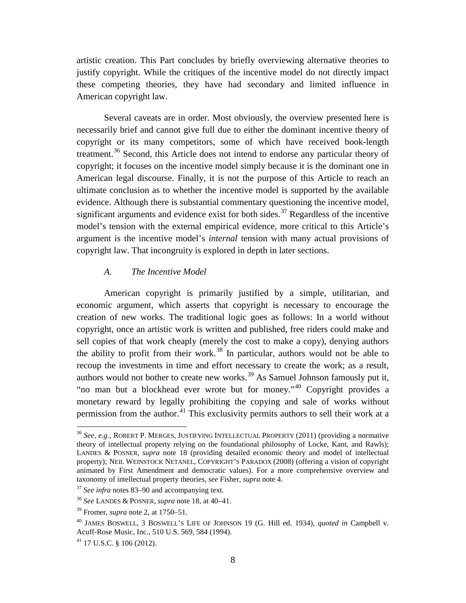artistic creation. This Part concludes by briefly overviewing alternative theories to justify copyright. While the critiques of the incentive model do not directly impact these competing theories, they have had secondary and limited influence in American copyright law.

<span id="page-8-7"></span>Several caveats are in order. Most obviously, the overview presented here is necessarily brief and cannot give full due to either the dominant incentive theory of copyright or its many competitors, some of which have received book-length treatment.[36](#page-8-1) Second, this Article does not intend to endorse any particular theory of copyright; it focuses on the incentive model simply because it is the dominant one in American legal discourse. Finally, it is not the purpose of this Article to reach an ultimate conclusion as to whether the incentive model is supported by the available evidence. Although there is substantial commentary questioning the incentive model, significant arguments and evidence exist for both sides.<sup>[37](#page-8-2)</sup> Regardless of the incentive model's tension with the external empirical evidence, more critical to this Article's argument is the incentive model's *internal* tension with many actual provisions of copyright law. That incongruity is explored in depth in later sections.

## *A. The Incentive Model*

<span id="page-8-0"></span>American copyright is primarily justified by a simple, utilitarian, and economic argument, which asserts that copyright is necessary to encourage the creation of new works. The traditional logic goes as follows: In a world without copyright, once an artistic work is written and published, free riders could make and sell copies of that work cheaply (merely the cost to make a copy), denying authors the ability to profit from their work.<sup>[38](#page-8-3)</sup> In particular, authors would not be able to recoup the investments in time and effort necessary to create the work; as a result, authors would not bother to create new works.<sup>[39](#page-8-4)</sup> As Samuel Johnson famously put it, "no man but a blockhead ever wrote but for money."[40](#page-8-5) Copyright provides a monetary reward by legally prohibiting the copying and sale of works without permission from the author.<sup>[41](#page-8-6)</sup> This exclusivity permits authors to sell their work at a

<span id="page-8-1"></span> <sup>36</sup> *See, e.g.*, ROBERT P. MERGES, JUSTIFYING INTELLECTUAL PROPERTY (2011) (providing a normative theory of intellectual property relying on the foundational philosophy of Locke, Kant, and Rawls); LANDES & POSNER*, supra* note [18](#page-3-10) (providing detailed economic theory and model of intellectual property); NEIL WEINSTOCK NETANEL, COPYRIGHT'S PARADOX (2008) (offering a vision of copyright animated by First Amendment and democratic values). For a more comprehensive overview and taxonomy of intellectual property theories, *see* Fisher, *supra* note [4.](#page-1-10)

<span id="page-8-2"></span><sup>37</sup> *See infra* note[s 83](#page-14-0)[–90](#page-15-1) and accompanying text.

<span id="page-8-3"></span><sup>38</sup> *See* LANDES & POSNER*, supra* note [18,](#page-3-10) at 40–41.

<span id="page-8-4"></span><sup>39</sup> Fromer, *supra* note [2,](#page-1-1) at 1750–51.

<span id="page-8-5"></span><sup>40</sup> JAMES BOSWELL, 3 BOSWELL'S LIFE OF JOHNSON 19 (G. Hill ed. 1934), *quoted in* Campbell v. Acuff-Rose Music, Inc., 510 U.S. 569, 584 (1994).<br><sup>41</sup> 17 U.S.C. § 106 (2012).

<span id="page-8-6"></span>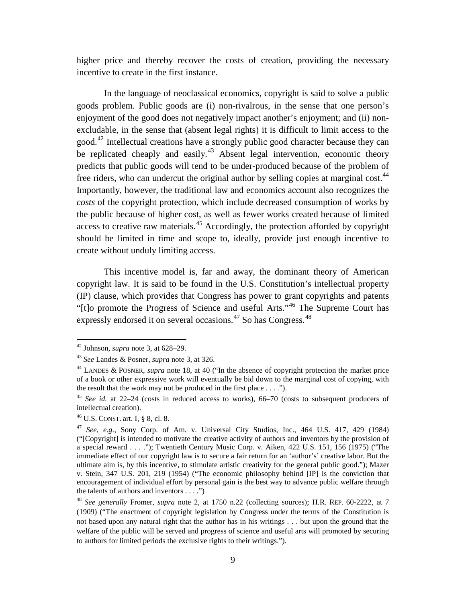higher price and thereby recover the costs of creation, providing the necessary incentive to create in the first instance.

In the language of neoclassical economics, copyright is said to solve a public goods problem. Public goods are (i) non-rivalrous, in the sense that one person's enjoyment of the good does not negatively impact another's enjoyment; and (ii) nonexcludable, in the sense that (absent legal rights) it is difficult to limit access to the good.<sup>[42](#page-9-0)</sup> Intellectual creations have a strongly public good character because they can be replicated cheaply and easily.<sup>[43](#page-9-1)</sup> Absent legal intervention, economic theory predicts that public goods will tend to be under-produced because of the problem of free riders, who can undercut the original author by selling copies at marginal cost.<sup>[44](#page-9-2)</sup> Importantly, however, the traditional law and economics account also recognizes the *costs* of the copyright protection, which include decreased consumption of works by the public because of higher cost, as well as fewer works created because of limited access to creative raw materials.<sup>[45](#page-9-3)</sup> Accordingly, the protection afforded by copyright should be limited in time and scope to, ideally, provide just enough incentive to create without unduly limiting access.

This incentive model is, far and away, the dominant theory of American copyright law. It is said to be found in the U.S. Constitution's intellectual property (IP) clause, which provides that Congress has power to grant copyrights and patents "[t]o promote the Progress of Science and useful Arts."[46](#page-9-4) The Supreme Court has expressly endorsed it on several occasions.<sup>[47](#page-9-5)</sup> So has Congress.<sup>[48](#page-9-6)</sup>

<span id="page-9-0"></span> <sup>42</sup> Johnson, *supra* note [3,](#page-1-2) at 628–29.

<span id="page-9-1"></span><sup>43</sup> *See* Landes & Posner, *supra* note [3,](#page-1-2) at 326.

<span id="page-9-2"></span><sup>44</sup> LANDES & POSNER, *supra* note [18,](#page-3-10) at 40 ("In the absence of copyright protection the market price of a book or other expressive work will eventually be bid down to the marginal cost of copying, with the result that the work may not be produced in the first place . . . .").

<span id="page-9-3"></span><sup>45</sup> *See id.* at 22–24 (costs in reduced access to works), 66–70 (costs to subsequent producers of intellectual creation).

<span id="page-9-4"></span><sup>46</sup> U.S. CONST. art. I, § 8, cl. 8.

<span id="page-9-5"></span><sup>47</sup> *See, e.g.*, Sony Corp. of Am. v. Universal City Studios, Inc., 464 U.S. 417, 429 (1984) ("[Copyright] is intended to motivate the creative activity of authors and inventors by the provision of a special reward . . . ."); Twentieth Century Music Corp. v. Aiken, 422 U.S. 151, 156 (1975) ("The immediate effect of our copyright law is to secure a fair return for an 'author's' creative labor. But the ultimate aim is, by this incentive, to stimulate artistic creativity for the general public good."); Mazer v. Stein, 347 U.S. 201, 219 (1954) ("The economic philosophy behind [IP] is the conviction that encouragement of individual effort by personal gain is the best way to advance public welfare through the talents of authors and inventors  $\dots$ .")

<span id="page-9-6"></span><sup>48</sup> *See generally* Fromer, *supra* note [2,](#page-1-1) at 1750 n.22 (collecting sources); H.R. REP. 60-2222, at 7 (1909) ("The enactment of copyright legislation by Congress under the terms of the Constitution is not based upon any natural right that the author has in his writings . . . but upon the ground that the welfare of the public will be served and progress of science and useful arts will promoted by securing to authors for limited periods the exclusive rights to their writings.").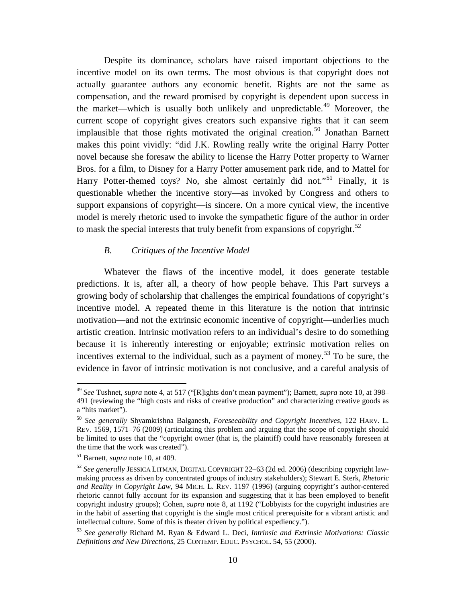<span id="page-10-7"></span>Despite its dominance, scholars have raised important objections to the incentive model on its own terms. The most obvious is that copyright does not actually guarantee authors any economic benefit. Rights are not the same as compensation, and the reward promised by copyright is dependent upon success in the market—which is usually both unlikely and unpredictable.<sup>[49](#page-10-1)</sup> Moreover, the current scope of copyright gives creators such expansive rights that it can seem implausible that those rights motivated the original creation.<sup>[50](#page-10-2)</sup> Jonathan Barnett makes this point vividly: "did J.K. Rowling really write the original Harry Potter novel because she foresaw the ability to license the Harry Potter property to Warner Bros. for a film, to Disney for a Harry Potter amusement park ride, and to Mattel for Harry Potter-themed toys? No, she almost certainly did not."<sup>[51](#page-10-3)</sup> Finally, it is questionable whether the incentive story—as invoked by Congress and others to support expansions of copyright—is sincere. On a more cynical view, the incentive model is merely rhetoric used to invoke the sympathetic figure of the author in order to mask the special interests that truly benefit from expansions of copyright.<sup>[52](#page-10-4)</sup>

## <span id="page-10-6"></span>*B. Critiques of the Incentive Model*

<span id="page-10-0"></span>Whatever the flaws of the incentive model, it does generate testable predictions. It is, after all, a theory of how people behave. This Part surveys a growing body of scholarship that challenges the empirical foundations of copyright's incentive model. A repeated theme in this literature is the notion that intrinsic motivation—and not the extrinsic economic incentive of copyright—underlies much artistic creation. Intrinsic motivation refers to an individual's desire to do something because it is inherently interesting or enjoyable; extrinsic motivation relies on incentives external to the individual, such as a payment of money.<sup>[53](#page-10-5)</sup> To be sure, the evidence in favor of intrinsic motivation is not conclusive, and a careful analysis of

<span id="page-10-1"></span> <sup>49</sup> *See* Tushnet, *supra* note [4,](#page-1-10) at 517 ("[R]ights don't mean payment"); Barnett, *supra* note [10,](#page-2-8) at 398– 491 (reviewing the "high costs and risks of creative production" and characterizing creative goods as a "hits market").

<span id="page-10-2"></span><sup>50</sup> *See generally* Shyamkrishna Balganesh, *Foreseeability and Copyright Incentives*, 122 HARV. L. REV. 1569, 1571–76 (2009) (articulating this problem and arguing that the scope of copyright should be limited to uses that the "copyright owner (that is, the plaintiff) could have reasonably foreseen at the time that the work was created").

<span id="page-10-3"></span><sup>51</sup> Barnett, *supra* note [10,](#page-2-8) at 409.

<span id="page-10-4"></span><sup>52</sup> *See generally* JESSICA LITMAN, DIGITAL COPYRIGHT 22–63 (2d ed. 2006) (describing copyright lawmaking process as driven by concentrated groups of industry stakeholders); Stewart E. Sterk, *Rhetoric and Reality in Copyright Law*, 94 MICH. L. REV. 1197 (1996) (arguing copyright's author-centered rhetoric cannot fully account for its expansion and suggesting that it has been employed to benefit copyright industry groups); Cohen, *supra* note [8,](#page-2-7) at 1192 ("Lobbyists for the copyright industries are in the habit of asserting that copyright is the single most critical prerequisite for a vibrant artistic and intellectual culture. Some of this is theater driven by political expediency.").

<span id="page-10-5"></span><sup>53</sup> *See generally* Richard M. Ryan & Edward L. Deci, *Intrinsic and Extrinsic Motivations: Classic Definitions and New Directions*, 25 CONTEMP. EDUC. PSYCHOL. 54, 55 (2000).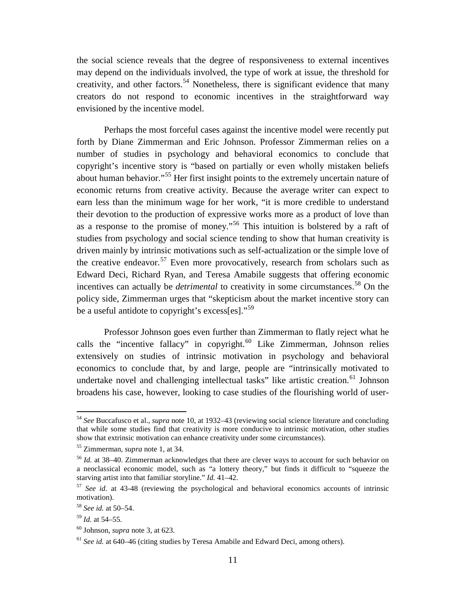the social science reveals that the degree of responsiveness to external incentives may depend on the individuals involved, the type of work at issue, the threshold for creativity, and other factors.<sup>[54](#page-11-0)</sup> Nonetheless, there is significant evidence that many creators do not respond to economic incentives in the straightforward way envisioned by the incentive model.

Perhaps the most forceful cases against the incentive model were recently put forth by Diane Zimmerman and Eric Johnson. Professor Zimmerman relies on a number of studies in psychology and behavioral economics to conclude that copyright's incentive story is "based on partially or even wholly mistaken beliefs about human behavior."[55](#page-11-1) Her first insight points to the extremely uncertain nature of economic returns from creative activity. Because the average writer can expect to earn less than the minimum wage for her work, "it is more credible to understand their devotion to the production of expressive works more as a product of love than as a response to the promise of money."[56](#page-11-2) This intuition is bolstered by a raft of studies from psychology and social science tending to show that human creativity is driven mainly by intrinsic motivations such as self-actualization or the simple love of the creative endeavor.<sup>[57](#page-11-3)</sup> Even more provocatively, research from scholars such as Edward Deci, Richard Ryan, and Teresa Amabile suggests that offering economic incentives can actually be *detrimental* to creativity in some circumstances. [58](#page-11-4) On the policy side, Zimmerman urges that "skepticism about the market incentive story can be a useful antidote to copyright's excess[es]."<sup>[59](#page-11-5)</sup>

<span id="page-11-8"></span>Professor Johnson goes even further than Zimmerman to flatly reject what he calls the "incentive fallacy" in copyright.<sup>[60](#page-11-6)</sup> Like Zimmerman, Johnson relies extensively on studies of intrinsic motivation in psychology and behavioral economics to conclude that, by and large, people are "intrinsically motivated to undertake novel and challenging intellectual tasks" like artistic creation.<sup>[61](#page-11-7)</sup> Johnson broadens his case, however, looking to case studies of the flourishing world of user-

<span id="page-11-9"></span><span id="page-11-0"></span> <sup>54</sup> *See* Buccafusco et al., *supra* note [10,](#page-2-8) at 1932–43 (reviewing social science literature and concluding that while some studies find that creativity is more conducive to intrinsic motivation, other studies show that extrinsic motivation can enhance creativity under some circumstances).

<span id="page-11-1"></span><sup>55</sup> Zimmerman, *supra* note [1,](#page-1-9) at 34.

<span id="page-11-2"></span><sup>56</sup> *Id.* at 38–40. Zimmerman acknowledges that there are clever ways to account for such behavior on a neoclassical economic model, such as "a lottery theory," but finds it difficult to "squeeze the starving artist into that familiar storyline." *Id.* 41–42.

<span id="page-11-3"></span><sup>57</sup> *See id.* at 43-48 (reviewing the psychological and behavioral economics accounts of intrinsic motivation).

<span id="page-11-4"></span><sup>58</sup> *See id.* at 50–54.

<span id="page-11-5"></span><sup>59</sup> *Id.* at 54–55.

<span id="page-11-6"></span><sup>60</sup> Johnson, *supra* note [3,](#page-1-2) at 623.

<span id="page-11-7"></span><sup>61</sup> *See id.* at 640–46 (citing studies by Teresa Amabile and Edward Deci, among others).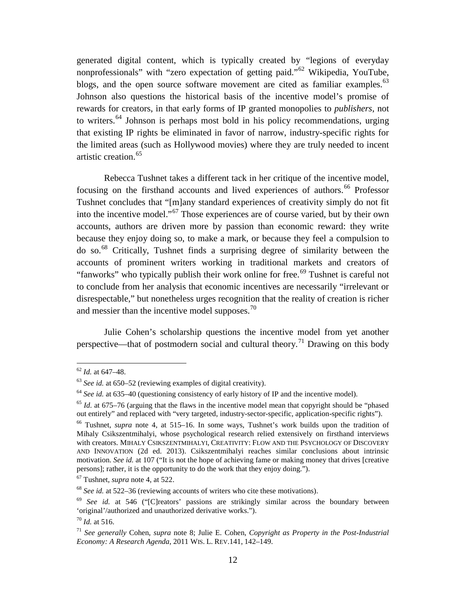generated digital content, which is typically created by "legions of everyday nonprofessionals" with "zero expectation of getting paid."<sup>[62](#page-12-0)</sup> Wikipedia, YouTube, blogs, and the open source software movement are cited as familiar examples.<sup>[63](#page-12-1)</sup> Johnson also questions the historical basis of the incentive model's promise of rewards for creators, in that early forms of IP granted monopolies to *publishers*, not to writers.<sup>[64](#page-12-2)</sup> Johnson is perhaps most bold in his policy recommendations, urging that existing IP rights be eliminated in favor of narrow, industry-specific rights for the limited areas (such as Hollywood movies) where they are truly needed to incent artistic creation.<sup>[65](#page-12-3)</sup>

Rebecca Tushnet takes a different tack in her critique of the incentive model, focusing on the firsthand accounts and lived experiences of authors. [66](#page-12-4) Professor Tushnet concludes that "[m]any standard experiences of creativity simply do not fit into the incentive model."[67](#page-12-5) Those experiences are of course varied, but by their own accounts, authors are driven more by passion than economic reward: they write because they enjoy doing so, to make a mark, or because they feel a compulsion to do so.[68](#page-12-6) Critically, Tushnet finds a surprising degree of similarity between the accounts of prominent writers working in traditional markets and creators of "fanworks" who typically publish their work online for free.<sup>[69](#page-12-7)</sup> Tushnet is careful not to conclude from her analysis that economic incentives are necessarily "irrelevant or disrespectable," but nonetheless urges recognition that the reality of creation is richer and messier than the incentive model supposes.<sup>[70](#page-12-8)</sup>

<span id="page-12-10"></span>Julie Cohen's scholarship questions the incentive model from yet another perspective—that of postmodern social and cultural theory.<sup>[71](#page-12-9)</sup> Drawing on this body

<span id="page-12-0"></span> <sup>62</sup> *Id.* at 647–48.

<span id="page-12-1"></span><sup>63</sup> *See id.* at 650–52 (reviewing examples of digital creativity).

<span id="page-12-2"></span><sup>&</sup>lt;sup>64</sup> See id. at 635–40 (questioning consistency of early history of IP and the incentive model).

<span id="page-12-3"></span><sup>65</sup> *Id.* at 675–76 (arguing that the flaws in the incentive model mean that copyright should be "phased out entirely" and replaced with "very targeted, industry-sector-specific, application-specific rights").

<span id="page-12-4"></span><sup>66</sup> Tushnet, *supra* note [4,](#page-1-10) at 515–16. In some ways, Tushnet's work builds upon the tradition of Mihaly Csikszentmihalyi, whose psychological research relied extensively on firsthand interviews with creators. MIHALY CSIKSZENTMIHALYI, CREATIVITY: FLOW AND THE PSYCHOLOGY OF DISCOVERY AND INNOVATION (2d ed. 2013). Csikszentmihalyi reaches similar conclusions about intrinsic motivation. *See id.* at 107 ("It is not the hope of achieving fame or making money that drives [creative persons]; rather, it is the opportunity to do the work that they enjoy doing.").

<span id="page-12-5"></span><sup>67</sup> Tushnet, *supra* note [4,](#page-1-10) at 522.

<span id="page-12-6"></span><sup>68</sup> *See id.* at 522–36 (reviewing accounts of writers who cite these motivations).

<span id="page-12-7"></span><sup>&</sup>lt;sup>69</sup> *See id.* at 546 ("[C]reators' passions are strikingly similar across the boundary between 'original'/authorized and unauthorized derivative works.").

<span id="page-12-8"></span><sup>70</sup> *Id.* at 516.

<span id="page-12-9"></span><sup>71</sup> *See generally* Cohen, *supra* note [8;](#page-2-7) Julie E. Cohen, *Copyright as Property in the Post-Industrial Economy: A Research Agenda*, 2011 WIS. L. REV.141, 142–149.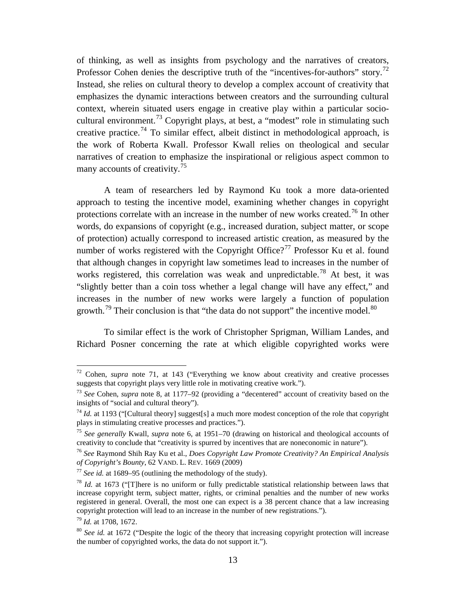of thinking, as well as insights from psychology and the narratives of creators, Professor Cohen denies the descriptive truth of the "incentives-for-authors" story.<sup>[72](#page-13-0)</sup> Instead, she relies on cultural theory to develop a complex account of creativity that emphasizes the dynamic interactions between creators and the surrounding cultural context, wherein situated users engage in creative play within a particular socio-cultural environment.<sup>[73](#page-13-1)</sup> Copyright plays, at best, a "modest" role in stimulating such creative practice.<sup>[74](#page-13-2)</sup> To similar effect, albeit distinct in methodological approach, is the work of Roberta Kwall. Professor Kwall relies on theological and secular narratives of creation to emphasize the inspirational or religious aspect common to many accounts of creativity.<sup>[75](#page-13-3)</sup>

<span id="page-13-9"></span>A team of researchers led by Raymond Ku took a more data-oriented approach to testing the incentive model, examining whether changes in copyright protections correlate with an increase in the number of new works created.<sup>[76](#page-13-4)</sup> In other words, do expansions of copyright (e.g., increased duration, subject matter, or scope of protection) actually correspond to increased artistic creation, as measured by the number of works registered with the Copyright Office?<sup>[77](#page-13-5)</sup> Professor Ku et al. found that although changes in copyright law sometimes lead to increases in the number of works registered, this correlation was weak and unpredictable.<sup>[78](#page-13-6)</sup> At best, it was "slightly better than a coin toss whether a legal change will have any effect," and increases in the number of new works were largely a function of population growth.<sup>[79](#page-13-7)</sup> Their conclusion is that "the data do not support" the incentive model. $80$ 

To similar effect is the work of Christopher Sprigman, William Landes, and Richard Posner concerning the rate at which eligible copyrighted works were

<span id="page-13-0"></span> <sup>72</sup> Cohen, *supra* note [71,](#page-12-10) at 143 ("Everything we know about creativity and creative processes suggests that copyright plays very little role in motivating creative work.").

<span id="page-13-1"></span><sup>73</sup> *See* Cohen, *supra* note [8,](#page-2-7) at 1177–92 (providing a "decentered" account of creativity based on the insights of "social and cultural theory").

<span id="page-13-2"></span><sup>&</sup>lt;sup>74</sup> *Id.* at 1193 ("[Cultural theory] suggest[s] a much more modest conception of the role that copyright plays in stimulating creative processes and practices.").

<span id="page-13-3"></span><sup>75</sup> *See generally* Kwall, *supra* note [6,](#page-2-9) at 1951–70 (drawing on historical and theological accounts of creativity to conclude that "creativity is spurred by incentives that are noneconomic in nature").

<span id="page-13-4"></span><sup>76</sup> *See* Raymond Shih Ray Ku et al., *Does Copyright Law Promote Creativity? An Empirical Analysis of Copyright's Bounty*, 62 VAND. L. REV. 1669 (2009)

<span id="page-13-5"></span> $\frac{77}{2}$  *See id.* at 1689–95 (outlining the methodology of the study).

<span id="page-13-6"></span><sup>78</sup> *Id.* at 1673 ("[T]here is no uniform or fully predictable statistical relationship between laws that increase copyright term, subject matter, rights, or criminal penalties and the number of new works registered in general. Overall, the most one can expect is a 38 percent chance that a law increasing copyright protection will lead to an increase in the number of new registrations.").

<span id="page-13-7"></span><sup>79</sup> *Id.* at 1708, 1672.

<span id="page-13-8"></span><sup>&</sup>lt;sup>80</sup> *See id.* at 1672 ("Despite the logic of the theory that increasing copyright protection will increase the number of copyrighted works, the data do not support it.").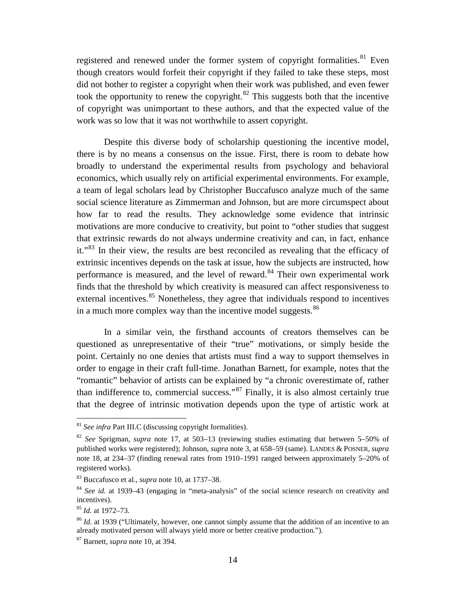<span id="page-14-9"></span><span id="page-14-8"></span>registered and renewed under the former system of copyright formalities. $81$  Even though creators would forfeit their copyright if they failed to take these steps, most did not bother to register a copyright when their work was published, and even fewer took the opportunity to renew the copyright. $82$  This suggests both that the incentive of copyright was unimportant to these authors, and that the expected value of the work was so low that it was not worthwhile to assert copyright.

Despite this diverse body of scholarship questioning the incentive model, there is by no means a consensus on the issue. First, there is room to debate how broadly to understand the experimental results from psychology and behavioral economics, which usually rely on artificial experimental environments. For example, a team of legal scholars lead by Christopher Buccafusco analyze much of the same social science literature as Zimmerman and Johnson, but are more circumspect about how far to read the results. They acknowledge some evidence that intrinsic motivations are more conducive to creativity, but point to "other studies that suggest that extrinsic rewards do not always undermine creativity and can, in fact, enhance it."<sup>[83](#page-14-3)</sup> In their view, the results are best reconciled as revealing that the efficacy of extrinsic incentives depends on the task at issue, how the subjects are instructed, how performance is measured, and the level of reward.<sup>[84](#page-14-4)</sup> Their own experimental work finds that the threshold by which creativity is measured can affect responsiveness to external incentives.<sup>[85](#page-14-5)</sup> Nonetheless, they agree that individuals respond to incentives in a much more complex way than the incentive model suggests. $86$ 

<span id="page-14-0"></span>In a similar vein, the firsthand accounts of creators themselves can be questioned as unrepresentative of their "true" motivations, or simply beside the point. Certainly no one denies that artists must find a way to support themselves in order to engage in their craft full-time. Jonathan Barnett, for example, notes that the "romantic" behavior of artists can be explained by "a chronic overestimate of, rather than indifference to, commercial success."[87](#page-14-7) Finally, it is also almost certainly true that the degree of intrinsic motivation depends upon the type of artistic work at

<span id="page-14-1"></span> <sup>81</sup> *See infra* Part III.C (discussing copyright formalities).

<span id="page-14-2"></span><sup>82</sup> *See* Sprigman, *supra* note [17,](#page-3-1) at 503–13 (reviewing studies estimating that between 5–50% of published works were registered); Johnson, *supra* note [3,](#page-1-2) at 658–59 (same). LANDES & POSNER*, supra* note [18,](#page-3-10) at 234–37 (finding renewal rates from 1910–1991 ranged between approximately 5–20% of registered works).

<span id="page-14-3"></span><sup>83</sup> Buccafusco et al., *supra* note [10,](#page-2-8) at 1737–38.

<span id="page-14-4"></span><sup>84</sup> *See id.* at 1939–43 (engaging in "meta-analysis" of the social science research on creativity and incentives).

<span id="page-14-5"></span><sup>85</sup> *Id.* at 1972–73.

<span id="page-14-6"></span><sup>&</sup>lt;sup>86</sup> *Id.* at 1939 ("Ultimately, however, one cannot simply assume that the addition of an incentive to an already motivated person will always yield more or better creative production.").

<span id="page-14-7"></span><sup>87</sup> Barnett, *supra* note [10,](#page-2-8) at 394.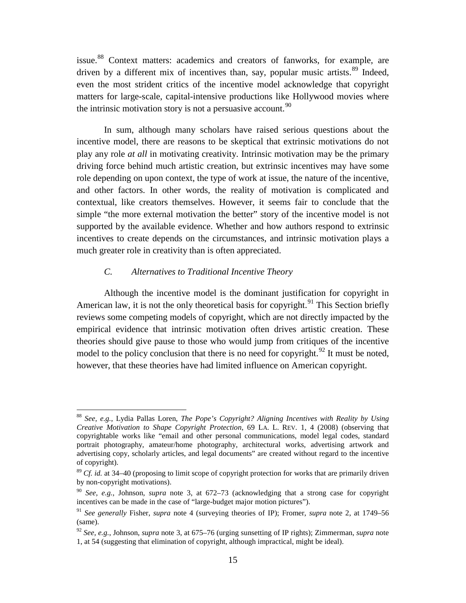issue.[88](#page-15-2) Context matters: academics and creators of fanworks, for example, are driven by a different mix of incentives than, say, popular music artists.<sup>[89](#page-15-3)</sup> Indeed, even the most strident critics of the incentive model acknowledge that copyright matters for large-scale, capital-intensive productions like Hollywood movies where the intrinsic motivation story is not a persuasive account.  $90$ 

<span id="page-15-1"></span>In sum, although many scholars have raised serious questions about the incentive model, there are reasons to be skeptical that extrinsic motivations do not play any role *at all* in motivating creativity. Intrinsic motivation may be the primary driving force behind much artistic creation, but extrinsic incentives may have some role depending on upon context, the type of work at issue, the nature of the incentive, and other factors. In other words, the reality of motivation is complicated and contextual, like creators themselves. However, it seems fair to conclude that the simple "the more external motivation the better" story of the incentive model is not supported by the available evidence. Whether and how authors respond to extrinsic incentives to create depends on the circumstances, and intrinsic motivation plays a much greater role in creativity than is often appreciated.

# *C. Alternatives to Traditional Incentive Theory*

<span id="page-15-0"></span>Although the incentive model is the dominant justification for copyright in American law, it is not the only theoretical basis for copyright.<sup>[91](#page-15-5)</sup> This Section briefly reviews some competing models of copyright, which are not directly impacted by the empirical evidence that intrinsic motivation often drives artistic creation. These theories should give pause to those who would jump from critiques of the incentive model to the policy conclusion that there is no need for copyright.<sup>[92](#page-15-6)</sup> It must be noted, however, that these theories have had limited influence on American copyright.

<span id="page-15-2"></span> <sup>88</sup> *See, e.g.*, Lydia Pallas Loren, *The Pope's Copyright? Aligning Incentives with Reality by Using Creative Motivation to Shape Copyright Protection*, 69 LA. L. REV. 1, 4 (2008) (observing that copyrightable works like "email and other personal communications, model legal codes, standard portrait photography, amateur/home photography, architectural works, advertising artwork and advertising copy, scholarly articles, and legal documents" are created without regard to the incentive of copyright).

<span id="page-15-3"></span><sup>&</sup>lt;sup>89</sup> *Cf. id.* at 34–40 (proposing to limit scope of copyright protection for works that are primarily driven by non-copyright motivations).

<span id="page-15-4"></span><sup>90</sup> *See, e.g.*, Johnson, *supra* note [3,](#page-1-2) at 672–73 (acknowledging that a strong case for copyright incentives can be made in the case of "large-budget major motion pictures").

<span id="page-15-5"></span><sup>91</sup> *See generally* Fisher, *supra* note [4](#page-1-10) (surveying theories of IP); Fromer, *supra* note [2,](#page-1-1) at 1749–56 (same).

<span id="page-15-6"></span><sup>92</sup> *See, e.g.*, Johnson, *supra* note [3,](#page-1-2) at 675–76 (urging sunsetting of IP rights); Zimmerman, *supra* note [1,](#page-1-9) at 54 (suggesting that elimination of copyright, although impractical, might be ideal).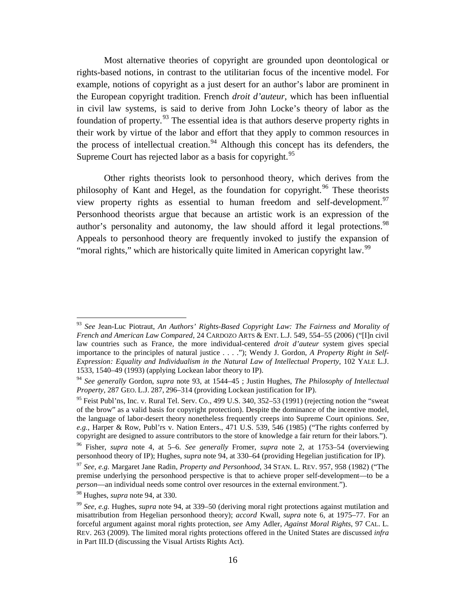<span id="page-16-0"></span>Most alternative theories of copyright are grounded upon deontological or rights-based notions, in contrast to the utilitarian focus of the incentive model. For example, notions of copyright as a just desert for an author's labor are prominent in the European copyright tradition. French *droit d'auteur*, which has been influential in civil law systems, is said to derive from John Locke's theory of labor as the foundation of property.[93](#page-16-2) The essential idea is that authors deserve property rights in their work by virtue of the labor and effort that they apply to common resources in the process of intellectual creation.<sup>[94](#page-16-3)</sup> Although this concept has its defenders, the Supreme Court has rejected labor as a basis for copyright.<sup>[95](#page-16-4)</sup>

<span id="page-16-9"></span><span id="page-16-1"></span>Other rights theorists look to personhood theory, which derives from the philosophy of Kant and Hegel, as the foundation for copyright.<sup>[96](#page-16-5)</sup> These theorists view property rights as essential to human freedom and self-development.<sup>[97](#page-16-6)</sup> Personhood theorists argue that because an artistic work is an expression of the author's personality and autonomy, the law should afford it legal protections.<sup>[98](#page-16-7)</sup> Appeals to personhood theory are frequently invoked to justify the expansion of "moral rights," which are historically quite limited in American copyright law.<sup>[99](#page-16-8)</sup>

<span id="page-16-2"></span> <sup>93</sup> *See* Jean-Luc Piotraut, *An Authors' Rights-Based Copyright Law: The Fairness and Morality of French and American Law Compared*, 24 CARDOZO ARTS & ENT. L.J. 549, 554–55 (2006) ("[I]n civil law countries such as France, the more individual-centered *droit d'auteur* system gives special importance to the principles of natural justice . . . ."); Wendy J. Gordon, *A Property Right in Self-Expression: Equality and Individualism in the Natural Law of Intellectual Property*, 102 YALE L.J. 1533, 1540–49 (1993) (applying Lockean labor theory to IP).

<span id="page-16-3"></span><sup>94</sup> *See generally* Gordon, *supra* note [93,](#page-16-0) at 1544–45 ; Justin Hughes, *The Philosophy of Intellectual Property*, 287 GEO. L.J. 287, 296–314 (providing Lockean justification for IP).

<span id="page-16-4"></span> $95$  Feist Publ'ns, Inc. v. Rural Tel. Serv. Co., 499 U.S. 340, 352–53 (1991) (rejecting notion the "sweat" of the brow" as a valid basis for copyright protection). Despite the dominance of the incentive model, the language of labor-desert theory nonetheless frequently creeps into Supreme Court opinions. *See, e.g.*, Harper & Row, Publ'rs v. Nation Enters., 471 U.S. 539, 546 (1985) ("The rights conferred by copyright are designed to assure contributors to the store of knowledge a fair return for their labors.").

<span id="page-16-5"></span><sup>96</sup> Fisher, *supra* note [4,](#page-1-10) at 5–6. *See generally* Fromer, *supra* note [2,](#page-1-1) at 1753–54 (overviewing personhood theory of IP); Hughes, *supra* note [94,](#page-16-1) at 330–64 (providing Hegelian justification for IP).

<span id="page-16-6"></span><sup>97</sup> *See, e.g.* Margaret Jane Radin, *Property and Personhood*, 34 STAN. L. REV. 957, 958 (1982) ("The premise underlying the personhood perspective is that to achieve proper self-development—to be a *person*—an individual needs some control over resources in the external environment.").

<span id="page-16-7"></span><sup>98</sup> Hughes, *supra* note [94,](#page-16-1) at 330.

<span id="page-16-8"></span><sup>99</sup> *See, e.g.* Hughes, *supra* note [94,](#page-16-1) at 339–50 (deriving moral right protections against mutilation and misattribution from Hegelian personhood theory); *accord* Kwall, *supra* note [6,](#page-2-9) at 1975–77. For an forceful argument against moral rights protection, *see* Amy Adler, *Against Moral Rights*, 97 CAL. L. REV. 263 (2009). The limited moral rights protections offered in the United States are discussed *infra* in Part III.D (discussing the Visual Artists Rights Act).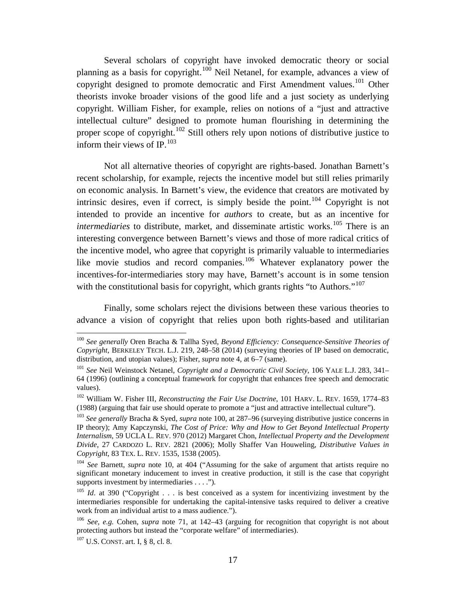<span id="page-17-0"></span>Several scholars of copyright have invoked democratic theory or social planning as a basis for copyright.<sup>[100](#page-17-1)</sup> Neil Netanel, for example, advances a view of copyright designed to promote democratic and First Amendment values.<sup>[101](#page-17-2)</sup> Other theorists invoke broader visions of the good life and a just society as underlying copyright. William Fisher, for example, relies on notions of a "just and attractive intellectual culture" designed to promote human flourishing in determining the proper scope of copyright.<sup>[102](#page-17-3)</sup> Still others rely upon notions of distributive justice to inform their views of IP. $^{103}$  $^{103}$  $^{103}$ 

Not all alternative theories of copyright are rights-based. Jonathan Barnett's recent scholarship, for example, rejects the incentive model but still relies primarily on economic analysis. In Barnett's view, the evidence that creators are motivated by intrinsic desires, even if correct, is simply beside the point.<sup>[104](#page-17-5)</sup> Copyright is not intended to provide an incentive for *authors* to create, but as an incentive for *intermediaries* to distribute, market, and disseminate artistic works.<sup>[105](#page-17-6)</sup> There is an interesting convergence between Barnett's views and those of more radical critics of the incentive model, who agree that copyright is primarily valuable to intermediaries like movie studios and record companies.<sup>[106](#page-17-7)</sup> Whatever explanatory power the incentives-for-intermediaries story may have, Barnett's account is in some tension with the constitutional basis for copyright, which grants rights "to Authors."<sup>[107](#page-17-8)</sup>

Finally, some scholars reject the divisions between these various theories to advance a vision of copyright that relies upon both rights-based and utilitarian

<span id="page-17-1"></span> <sup>100</sup> *See generally* Oren Bracha & Tallha Syed, *Beyond Efficiency: Consequence-Sensitive Theories of Copyright*, BERKELEY TECH. L.J. 219, 248–58 (2014) (surveying theories of IP based on democratic, distribution, and utopian values); Fisher, *supra* note [4,](#page-1-10) at 6–7 (same).

<span id="page-17-2"></span><sup>101</sup> *See* Neil Weinstock Netanel, *Copyright and a Democratic Civil Society*, 106 YALE L.J. 283, 341– 64 (1996) (outlining a conceptual framework for copyright that enhances free speech and democratic values).

<span id="page-17-3"></span><sup>102</sup> William W. Fisher III, *Reconstructing the Fair Use Doctrine*, 101 HARV. L. REV. 1659, 1774–83 (1988) (arguing that fair use should operate to promote a "just and attractive intellectual culture").

<span id="page-17-4"></span><sup>103</sup> *See generally* Bracha & Syed, *supra* note [100,](#page-17-0) at 287–96 (surveying distributive justice concerns in IP theory); Amy Kapczynski, *The Cost of Price: Why and How to Get Beyond Intellectual Property Internalism*, 59 UCLA L. REV. 970 (2012) Margaret Chon, *Intellectual Property and the Development Divide*, 27 CARDOZO L. REV. 2821 (2006); Molly Shaffer Van Houweling, *Distributive Values in Copyright*, 83 TEX. L. REV. 1535, 1538 (2005).

<span id="page-17-5"></span><sup>104</sup> *See* Barnett, *supra* note [10,](#page-2-8) at 404 ("Assuming for the sake of argument that artists require no significant monetary inducement to invest in creative production, it still is the case that copyright supports investment by intermediaries . . . .").

<span id="page-17-6"></span><sup>&</sup>lt;sup>105</sup> *Id.* at 390 ("Copyright . . . is best conceived as a system for incentivizing investment by the intermediaries responsible for undertaking the capital-intensive tasks required to deliver a creative work from an individual artist to a mass audience.").

<span id="page-17-7"></span><sup>106</sup> *See, e.g.* Cohen, *supra* note [71,](#page-12-10) at 142–43 (arguing for recognition that copyright is not about protecting authors but instead the "corporate welfare" of intermediaries).

<span id="page-17-8"></span><sup>107</sup> U.S. CONST. art. I, § 8, cl. 8.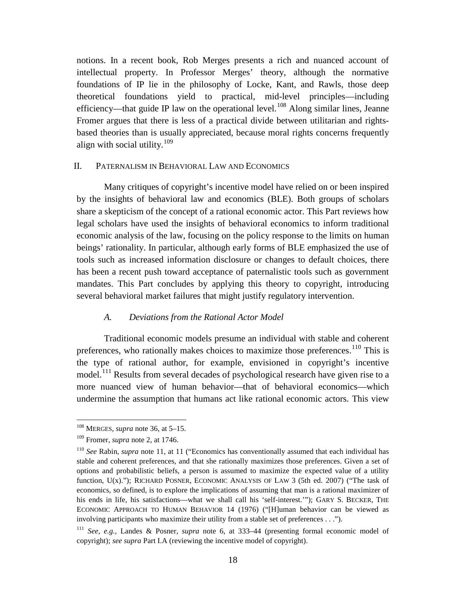notions. In a recent book, Rob Merges presents a rich and nuanced account of intellectual property. In Professor Merges' theory, although the normative foundations of IP lie in the philosophy of Locke, Kant, and Rawls, those deep theoretical foundations yield to practical, mid-level principles—including efficiency—that guide IP law on the operational level.<sup>[108](#page-18-2)</sup> Along similar lines, Jeanne Fromer argues that there is less of a practical divide between utilitarian and rightsbased theories than is usually appreciated, because moral rights concerns frequently align with social utility.<sup>[109](#page-18-3)</sup>

# <span id="page-18-0"></span>II. PATERNALISM IN BEHAVIORAL LAW AND ECONOMICS

Many critiques of copyright's incentive model have relied on or been inspired by the insights of behavioral law and economics (BLE). Both groups of scholars share a skepticism of the concept of a rational economic actor. This Part reviews how legal scholars have used the insights of behavioral economics to inform traditional economic analysis of the law, focusing on the policy response to the limits on human beings' rationality. In particular, although early forms of BLE emphasized the use of tools such as increased information disclosure or changes to default choices, there has been a recent push toward acceptance of paternalistic tools such as government mandates. This Part concludes by applying this theory to copyright, introducing several behavioral market failures that might justify regulatory intervention.

### <span id="page-18-1"></span>*A. Deviations from the Rational Actor Model*

Traditional economic models presume an individual with stable and coherent preferences, who rationally makes choices to maximize those preferences.<sup>[110](#page-18-4)</sup> This is the type of rational author, for example, envisioned in copyright's incentive model.<sup>[111](#page-18-5)</sup> Results from several decades of psychological research have given rise to a more nuanced view of human behavior—that of behavioral economics—which undermine the assumption that humans act like rational economic actors. This view

<span id="page-18-2"></span> <sup>108</sup> MERGES, *supra* note [36,](#page-8-7) at 5–15.

<span id="page-18-3"></span><sup>109</sup> Fromer, *supra* note [2,](#page-1-1) at 1746.

<span id="page-18-4"></span><sup>110</sup> *See* Rabin, *supra* note [11,](#page-2-10) at 11 ("Economics has conventionally assumed that each individual has stable and coherent preferences, and that she rationally maximizes those preferences. Given a set of options and probabilistic beliefs, a person is assumed to maximize the expected value of a utility function, U(x)."); RICHARD POSNER, ECONOMIC ANALYSIS OF LAW 3 (5th ed. 2007) ("The task of economics, so defined, is to explore the implications of assuming that man is a rational maximizer of his ends in life, his satisfactions—what we shall call his 'self-interest.'"); GARY S. BECKER, THE ECONOMIC APPROACH TO HUMAN BEHAVIOR 14 (1976) ("[H]uman behavior can be viewed as involving participants who maximize their utility from a stable set of preferences . . .").

<span id="page-18-5"></span><sup>111</sup> *See, e.g.*, Landes & Posner, *supra* note [6,](#page-2-9) at 333–44 (presenting formal economic model of copyright); *see supra* Part I.A (reviewing the incentive model of copyright).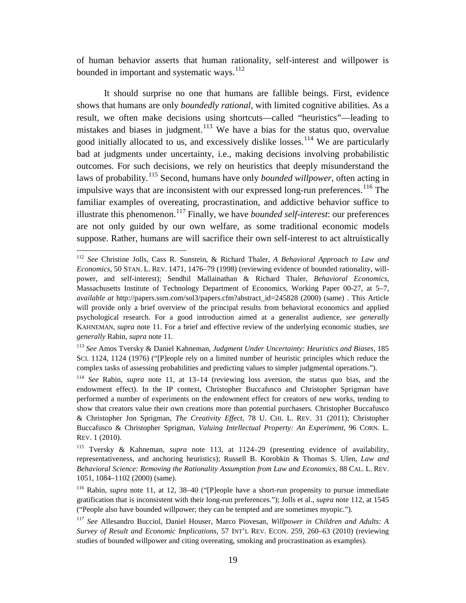<span id="page-19-1"></span>of human behavior asserts that human rationality, self-interest and willpower is bounded in important and systematic ways.<sup>[112](#page-19-2)</sup>

<span id="page-19-10"></span><span id="page-19-0"></span>It should surprise no one that humans are fallible beings. First, evidence shows that humans are only *boundedly rational*, with limited cognitive abilities. As a result, we often make decisions using shortcuts—called "heuristics"—leading to mistakes and biases in judgment.<sup>[113](#page-19-3)</sup> We have a bias for the status quo, overvalue good initially allocated to us, and excessively dislike losses.<sup>[114](#page-19-4)</sup> We are particularly bad at judgments under uncertainty, i.e., making decisions involving probabilistic outcomes. For such decisions, we rely on heuristics that deeply misunderstand the laws of probability.[115](#page-19-5) Second, humans have only *bounded willpower*, often acting in impulsive ways that are inconsistent with our expressed long-run preferences.<sup>[116](#page-19-6)</sup> The familiar examples of overeating, procrastination, and addictive behavior suffice to illustrate this phenomenon. [117](#page-19-7) Finally, we have *bounded self-interest*: our preferences are not only guided by our own welfare, as some traditional economic models suppose. Rather, humans are will sacrifice their own self-interest to act altruistically

<span id="page-19-11"></span><span id="page-19-9"></span><span id="page-19-8"></span><span id="page-19-2"></span> <sup>112</sup> *See* Christine Jolls, Cass R. Sunstein, & Richard Thaler, *A Behavioral Approach to Law and Economics*, 50 STAN. L. REV. 1471, 1476–79 (1998) (reviewing evidence of bounded rationality, willpower, and self-interest); Sendhil Mallainathan & Richard Thaler, *Behavioral Economics*, Massachusetts Institute of Technology Department of Economics, Working Paper 00-27, at 5–7, *available at* http://papers.ssrn.com/sol3/papers.cfm?abstract\_id=245828 (2000) (same) . This Article will provide only a brief overview of the principal results from behavioral economics and applied psychological research. For a good introduction aimed at a generalist audience, *see generally*  KAHNEMAN, *supra* note [11.](#page-2-10) For a brief and effective review of the underlying economic studies, *see generally* Rabin, *supra* note [11.](#page-2-10)

<span id="page-19-3"></span><sup>113</sup> *See* Amos Tversky & Daniel Kahneman, *Judgment Under Uncertainty: Heuristics and Biases*, 185 SCI. 1124, 1124 (1976) ("[P]eople rely on a limited number of heuristic principles which reduce the complex tasks of assessing probabilities and predicting values to simpler judgmental operations.").

<span id="page-19-4"></span><sup>114</sup> *See* Rabin, *supra* note [11,](#page-2-10) at 13–14 (reviewing loss aversion, the status quo bias, and the endowment effect). In the IP context, Christopher Buccafusco and Christopher Sprigman have performed a number of experiments on the endowment effect for creators of new works, tending to show that creators value their own creations more than potential purchasers. Christopher Buccafusco & Christopher Jon Sprigman, *The Creativity Effect*, 78 U. CHI. L. REV. 31 (2011); Christopher Buccafusco & Christopher Sprigman, *Valuing Intellectual Property: An Experiment*, 96 CORN. L. REV. 1 (2010).

<span id="page-19-5"></span><sup>115</sup> Tversky & Kahneman, *supra* note [113,](#page-19-0) at 1124–29 (presenting evidence of availability, representativeness, and anchoring heuristics); Russell B. Korobkin & Thomas S. Ulen, *Law and Behavioral Science: Removing the Rationality Assumption from Law and Economics*, 88 CAL. L. REV. 1051, 1084–1102 (2000) (same).

<span id="page-19-6"></span><sup>116</sup> Rabin, *supra* note [11,](#page-2-10) at 12, 38–40 ("[P]eople have a short-run propensity to pursue immediate gratification that is inconsistent with their long-run preferences."); Jolls et al., *supra* note [112,](#page-19-1) at 1545 ("People also have bounded willpower; they can be tempted and are sometimes myopic.").

<span id="page-19-7"></span><sup>117</sup> *See* Allesandro Bucciol, Daniel Houser, Marco Piovesan, *Willpower in Children and Adults: A Survey of Result and Economic Implications*, 57 INT'L REV. ECON. 259, 260–63 (2010) (reviewing studies of bounded willpower and citing overeating, smoking and procrastination as examples).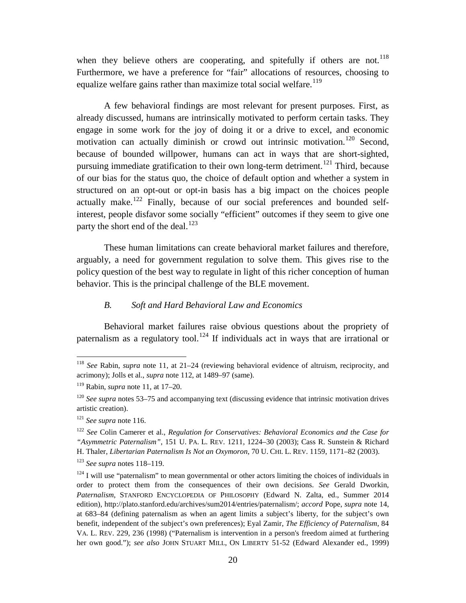<span id="page-20-3"></span><span id="page-20-2"></span>when they believe others are cooperating, and spitefully if others are not.<sup>[118](#page-20-4)</sup> Furthermore, we have a preference for "fair" allocations of resources, choosing to equalize welfare gains rather than maximize total social welfare.<sup>[119](#page-20-5)</sup>

A few behavioral findings are most relevant for present purposes. First, as already discussed, humans are intrinsically motivated to perform certain tasks. They engage in some work for the joy of doing it or a drive to excel, and economic motivation can actually diminish or crowd out intrinsic motivation.<sup>[120](#page-20-6)</sup> Second, because of bounded willpower, humans can act in ways that are short-sighted, pursuing immediate gratification to their own long-term detriment.<sup>[121](#page-20-7)</sup> Third, because of our bias for the status quo, the choice of default option and whether a system in structured on an opt-out or opt-in basis has a big impact on the choices people actually make.<sup>[122](#page-20-8)</sup> Finally, because of our social preferences and bounded selfinterest, people disfavor some socially "efficient" outcomes if they seem to give one party the short end of the deal. $^{123}$  $^{123}$  $^{123}$ 

<span id="page-20-11"></span>These human limitations can create behavioral market failures and therefore, arguably, a need for government regulation to solve them. This gives rise to the policy question of the best way to regulate in light of this richer conception of human behavior. This is the principal challenge of the BLE movement.

# <span id="page-20-1"></span>*B. Soft and Hard Behavioral Law and Economics*

<span id="page-20-0"></span>Behavioral market failures raise obvious questions about the propriety of paternalism as a regulatory tool.<sup>[124](#page-20-10)</sup> If individuals act in ways that are irrational or

<span id="page-20-4"></span> <sup>118</sup> *See* Rabin, *supra* note [11,](#page-2-10) at 21–24 (reviewing behavioral evidence of altruism, reciprocity, and acrimony); Jolls et al., *supra* note [112,](#page-19-1) at 1489–97 (same).

<span id="page-20-5"></span><sup>119</sup> Rabin, *supra* note [11,](#page-2-10) at 17–20.

<span id="page-20-6"></span><sup>120</sup> *See supra* notes [53–](#page-10-6)[75](#page-13-9) and accompanying text (discussing evidence that intrinsic motivation drives artistic creation).

<span id="page-20-7"></span><sup>121</sup> *See supra* note [116.](#page-19-8)

<span id="page-20-8"></span><sup>122</sup> *See* Colin Camerer et al., *Regulation for Conservatives: Behavioral Economics and the Case for "Asymmetric Paternalism"*, 151 U. PA. L. REV. 1211, 1224–30 (2003); Cass R. Sunstein & Richard H. Thaler, *Libertarian Paternalism Is Not an Oxymoron*, 70 U. CHI. L. REV. 1159, 1171–82 (2003).

<span id="page-20-9"></span><sup>123</sup> *See supra* notes [118–](#page-20-2)[119.](#page-20-3)

<span id="page-20-10"></span> $124$  I will use "paternalism" to mean governmental or other actors limiting the choices of individuals in order to protect them from the consequences of their own decisions. *See* Gerald Dworkin, *Paternalism*, STANFORD ENCYCLOPEDIA OF PHILOSOPHY (Edward N. Zalta, ed., Summer 2014 edition), http://plato.stanford.edu/archives/sum2014/entries/paternalism/; *accord* Pope, *supra* note [14,](#page-3-11) at 683–84 (defining paternalism as when an agent limits a subject's liberty, for the subject's own benefit, independent of the subject's own preferences); Eyal Zamir, *The Efficiency of Paternalism*, 84 VA. L. REV. 229, 236 (1998) ("Paternalism is intervention in a person's freedom aimed at furthering her own good."); *see also* JOHN STUART MILL, ON LIBERTY 51-52 (Edward Alexander ed., 1999)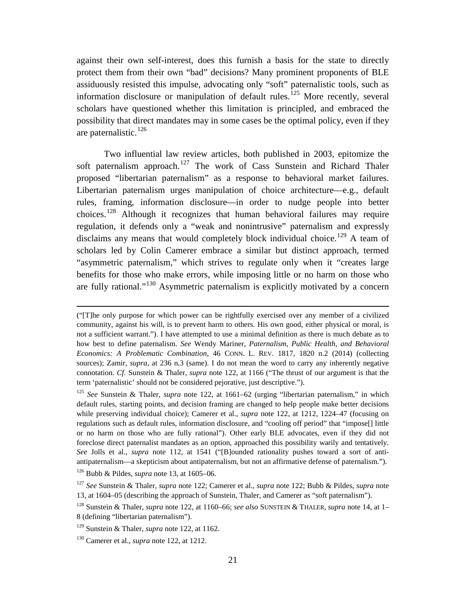against their own self-interest, does this furnish a basis for the state to directly protect them from their own "bad" decisions? Many prominent proponents of BLE assiduously resisted this impulse, advocating only "soft" paternalistic tools, such as information disclosure or manipulation of default rules.<sup>[125](#page-21-0)</sup> More recently, several scholars have questioned whether this limitation is principled, and embraced the possibility that direct mandates may in some cases be the optimal policy, even if they are paternalistic.<sup>[126](#page-21-1)</sup>

Two influential law review articles, both published in 2003, epitomize the soft paternalism approach.<sup>[127](#page-21-2)</sup> The work of Cass Sunstein and Richard Thaler proposed "libertarian paternalism" as a response to behavioral market failures. Libertarian paternalism urges manipulation of choice architecture—e.g., default rules, framing, information disclosure—in order to nudge people into better choices. [128](#page-21-3) Although it recognizes that human behavioral failures may require regulation, it defends only a "weak and nonintrusive" paternalism and expressly disclaims any means that would completely block individual choice.<sup>[129](#page-21-4)</sup> A team of scholars led by Colin Camerer embrace a similar but distinct approach, termed "asymmetric paternalism," which strives to regulate only when it "creates large benefits for those who make errors, while imposing little or no harm on those who are fully rational."[130](#page-21-5) Asymmetric paternalism is explicitly motivated by a concern

<u>.</u>

<sup>(&</sup>quot;[T]he only purpose for which power can be rightfully exercised over any member of a civilized community, against his will, is to prevent harm to others. His own good, either physical or moral, is not a sufficient warrant."). I have attempted to use a minimal definition as there is much debate as to how best to define paternalism. *See* Wendy Mariner, *Paternalism, Public Health, and Behavioral Economics: A Problematic Combination*, 46 CONN. L. REV. 1817, 1820 n.2 (2014) (collecting sources); Zamir, *supra*, at 236 n.3 (same). I do not mean the word to carry any inherently negative connotation. *Cf.* Sunstein & Thaler, *supra* note [122,](#page-20-11) at 1166 ("The thrust of our argument is that the term 'paternalistic' should not be considered pejorative, just descriptive.").

<span id="page-21-0"></span><sup>125</sup> *See* Sunstein & Thaler, *supra* note [122,](#page-20-11) at 1661–62 (urging "libertarian paternalism," in which default rules, starting points, and decision framing are changed to help people make better decisions while preserving individual choice); Camerer et al., *supra* note [122,](#page-20-11) at 1212, 1224–47 (focusing on regulations such as default rules, information disclosure, and "cooling off period" that "impose[] little or no harm on those who are fully rational"). Other early BLE advocates, even if they did not foreclose direct paternalist mandates as an option, approached this possibility warily and tentatively. *See* Jolls et al., *supra* note [112,](#page-19-1) at 1541 ("[B]ounded rationality pushes toward a sort of antiantipaternalism—a skepticism about antipaternalism, but not an affirmative defense of paternalism.").

<span id="page-21-1"></span><sup>126</sup> Bubb & Pildes, *supra* note [13,](#page-3-0) at 1605–06.

<span id="page-21-2"></span><sup>127</sup> *See* Sunstein & Thaler, *supra* note [122;](#page-20-11) Camerer et al., *supra* note [122;](#page-20-11) Bubb & Pildes, *supra* note [13,](#page-3-0) at 1604–05 (describing the approach of Sunstein, Thaler, and Camerer as "soft paternalism").

<span id="page-21-3"></span><sup>128</sup> Sunstein & Thaler, *supra* note [122,](#page-20-11) at 1160–66; *see also* SUNSTEIN & THALER, *supra* note [14,](#page-3-11) at 1– 8 (defining "libertarian paternalism").

<span id="page-21-4"></span><sup>129</sup> Sunstein & Thaler, *supra* note [122,](#page-20-11) at 1162.

<span id="page-21-5"></span><sup>130</sup> Camerer et al., *supra* note [122,](#page-20-11) at 1212.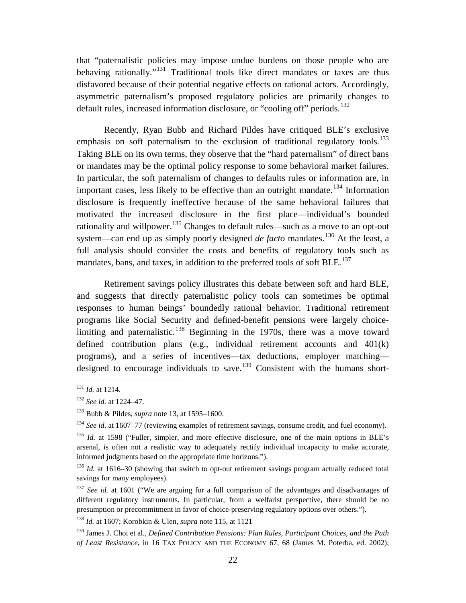that "paternalistic policies may impose undue burdens on those people who are behaving rationally."<sup>[131](#page-22-0)</sup> Traditional tools like direct mandates or taxes are thus disfavored because of their potential negative effects on rational actors. Accordingly, asymmetric paternalism's proposed regulatory policies are primarily changes to default rules, increased information disclosure, or "cooling off" periods.<sup>[132](#page-22-1)</sup>

Recently, Ryan Bubb and Richard Pildes have critiqued BLE's exclusive emphasis on soft paternalism to the exclusion of traditional regulatory tools.<sup>[133](#page-22-2)</sup> Taking BLE on its own terms, they observe that the "hard paternalism" of direct bans or mandates may be the optimal policy response to some behavioral market failures. In particular, the soft paternalism of changes to defaults rules or information are, in important cases, less likely to be effective than an outright mandate.<sup>[134](#page-22-3)</sup> Information disclosure is frequently ineffective because of the same behavioral failures that motivated the increased disclosure in the first place—individual's bounded rationality and willpower.<sup>[135](#page-22-4)</sup> Changes to default rules—such as a move to an opt-out system—can end up as simply poorly designed *de facto* mandates.<sup>[136](#page-22-5)</sup> At the least, a full analysis should consider the costs and benefits of regulatory tools such as mandates, bans, and taxes, in addition to the preferred tools of soft BLE.<sup>[137](#page-22-6)</sup>

Retirement savings policy illustrates this debate between soft and hard BLE, and suggests that directly paternalistic policy tools can sometimes be optimal responses to human beings' boundedly rational behavior. Traditional retirement programs like Social Security and defined-benefit pensions were largely choice-limiting and paternalistic.<sup>[138](#page-22-7)</sup> Beginning in the 1970s, there was a move toward defined contribution plans (e.g., individual retirement accounts and  $401(k)$ ) programs), and a series of incentives—tax deductions, employer matching— designed to encourage individuals to save.<sup>[139](#page-22-8)</sup> Consistent with the humans short-

<span id="page-22-9"></span><span id="page-22-0"></span> <sup>131</sup> *Id.* at 1214.

<span id="page-22-1"></span><sup>132</sup> *See id.* at 1224–47.

<span id="page-22-2"></span><sup>133</sup> Bubb & Pildes, *supra* note [13,](#page-3-0) at 1595–1600.

<span id="page-22-3"></span><sup>&</sup>lt;sup>134</sup> *See id.* at 1607–77 (reviewing examples of retirement savings, consume credit, and fuel economy).

<span id="page-22-4"></span><sup>&</sup>lt;sup>135</sup> *Id.* at 1598 ("Fuller, simpler, and more effective disclosure, one of the main options in BLE's arsenal, is often not a realistic way to adequately rectify individual incapacity to make accurate, informed judgments based on the appropriate time horizons.").

<span id="page-22-5"></span><sup>&</sup>lt;sup>136</sup> *Id.* at 1616–30 (showing that switch to opt-out retirement savings program actually reduced total savings for many employees).

<span id="page-22-6"></span><sup>&</sup>lt;sup>137</sup> *See id.* at 1601 ("We are arguing for a full comparison of the advantages and disadvantages of different regulatory instruments. In particular, from a welfarist perspective, there should be no presumption or precommitment in favor of choice-preserving regulatory options over others.").

<span id="page-22-7"></span><sup>138</sup> *Id.* at 1607; Korobkin & Ulen, *supra* note [115,](#page-19-9) at 1121

<span id="page-22-8"></span><sup>139</sup> James J. Choi et al., *Defined Contribution Pensions: Plan Rules, Participant Choices, and the Path of Least Resistance*, in 16 TAX POLICY AND THE ECONOMY 67, 68 (James M. Poterba, ed. 2002);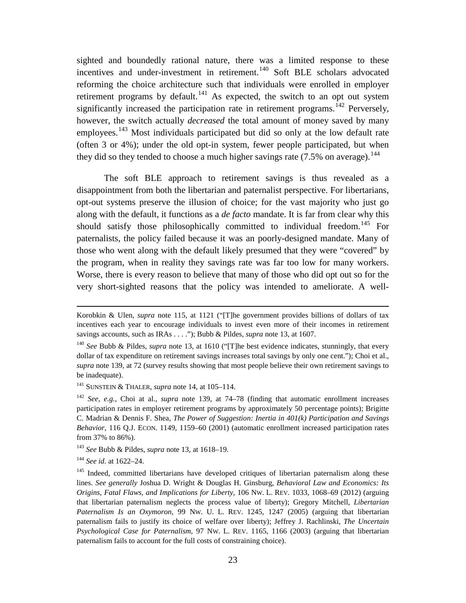sighted and boundedly rational nature, there was a limited response to these incentives and under-investment in retirement.<sup>[140](#page-23-0)</sup> Soft BLE scholars advocated reforming the choice architecture such that individuals were enrolled in employer retirement programs by default.<sup>[141](#page-23-1)</sup> As expected, the switch to an opt out system significantly increased the participation rate in retirement programs.<sup>[142](#page-23-2)</sup> Perversely, however, the switch actually *decreased* the total amount of money saved by many employees.<sup>[143](#page-23-3)</sup> Most individuals participated but did so only at the low default rate (often 3 or 4%); under the old opt-in system, fewer people participated, but when they did so they tended to choose a much higher savings rate  $(7.5\%$  on average).<sup>[144](#page-23-4)</sup>

The soft BLE approach to retirement savings is thus revealed as a disappointment from both the libertarian and paternalist perspective. For libertarians, opt-out systems preserve the illusion of choice; for the vast majority who just go along with the default, it functions as a *de facto* mandate. It is far from clear why this should satisfy those philosophically committed to individual freedom.<sup>[145](#page-23-5)</sup> For paternalists, the policy failed because it was an poorly-designed mandate. Many of those who went along with the default likely presumed that they were "covered" by the program, when in reality they savings rate was far too low for many workers. Worse, there is every reason to believe that many of those who did opt out so for the very short-sighted reasons that the policy was intended to ameliorate. A well-

<u>.</u>

Korobkin & Ulen, *supra* note [115,](#page-19-9) at 1121 ("[T]he government provides billions of dollars of tax incentives each year to encourage individuals to invest even more of their incomes in retirement savings accounts, such as IRAs . . . ."); Bubb & Pildes, *supra* note [13,](#page-3-0) at 1607.

<span id="page-23-0"></span><sup>140</sup> *See* Bubb & Pildes, *supra* note [13,](#page-3-0) at 1610 ("[T]he best evidence indicates, stunningly, that every dollar of tax expenditure on retirement savings increases total savings by only one cent."); Choi et al., *supra* note [139,](#page-22-9) at 72 (survey results showing that most people believe their own retirement savings to be inadequate).

<span id="page-23-1"></span><sup>141</sup> SUNSTEIN & THALER, *supra* note [14,](#page-3-11) at 105–114.

<span id="page-23-2"></span><sup>142</sup> *See, e.g.*, Choi at al., *supra* note [139,](#page-22-9) at 74–78 (finding that automatic enrollment increases participation rates in employer retirement programs by approximately 50 percentage points); Brigitte C. Madrian & Dennis F. Shea, *The Power of Suggestion: Inertia in 401(k) Participation and Savings Behavior*, 116 Q.J. ECON. 1149, 1159–60 (2001) (automatic enrollment increased participation rates from 37% to 86%).

<span id="page-23-3"></span><sup>143</sup> *See* Bubb & Pildes, *supra* note [13,](#page-3-0) at 1618–19.

<span id="page-23-4"></span><sup>144</sup> *See id.* at 1622–24.

<span id="page-23-5"></span><sup>&</sup>lt;sup>145</sup> Indeed, committed libertarians have developed critiques of libertarian paternalism along these lines. *See generally* Joshua D. Wright & Douglas H. Ginsburg, *Behavioral Law and Economics: Its Origins, Fatal Flaws, and Implications for Liberty*, 106 NW. L. REV. 1033, 1068–69 (2012) (arguing that libertarian paternalism neglects the process value of liberty); Gregory Mitchell, *Libertarian Paternalism Is an Oxymoron*, 99 NW. U. L. REV. 1245, 1247 (2005) (arguing that libertarian paternalism fails to justify its choice of welfare over liberty); Jeffrey J. Rachlinski, *The Uncertain Psychological Case for Paternalism,* 97 NW. L. REV. 1165, 1166 (2003) (arguing that libertarian paternalism fails to account for the full costs of constraining choice).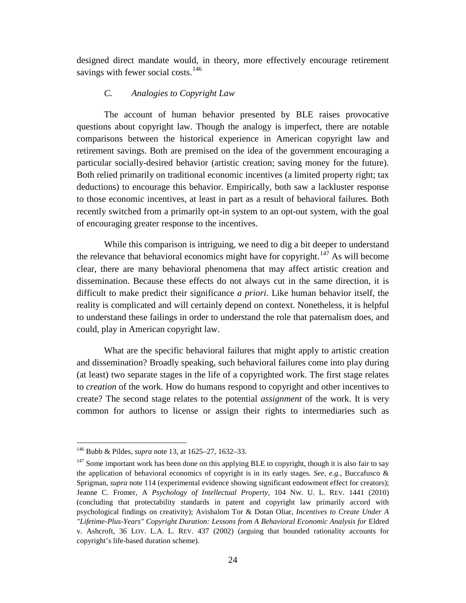designed direct mandate would, in theory, more effectively encourage retirement savings with fewer social costs.<sup>[146](#page-24-1)</sup>

# *C. Analogies to Copyright Law*

<span id="page-24-0"></span>The account of human behavior presented by BLE raises provocative questions about copyright law. Though the analogy is imperfect, there are notable comparisons between the historical experience in American copyright law and retirement savings. Both are premised on the idea of the government encouraging a particular socially-desired behavior (artistic creation; saving money for the future). Both relied primarily on traditional economic incentives (a limited property right; tax deductions) to encourage this behavior. Empirically, both saw a lackluster response to those economic incentives, at least in part as a result of behavioral failures. Both recently switched from a primarily opt-in system to an opt-out system, with the goal of encouraging greater response to the incentives.

While this comparison is intriguing, we need to dig a bit deeper to understand the relevance that behavioral economics might have for copyright.<sup>[147](#page-24-2)</sup> As will become clear, there are many behavioral phenomena that may affect artistic creation and dissemination. Because these effects do not always cut in the same direction, it is difficult to make predict their significance *a priori*. Like human behavior itself, the reality is complicated and will certainly depend on context. Nonetheless, it is helpful to understand these failings in order to understand the role that paternalism does, and could, play in American copyright law.

What are the specific behavioral failures that might apply to artistic creation and dissemination? Broadly speaking, such behavioral failures come into play during (at least) two separate stages in the life of a copyrighted work. The first stage relates to *creation* of the work. How do humans respond to copyright and other incentives to create? The second stage relates to the potential *assignment* of the work. It is very common for authors to license or assign their rights to intermediaries such as

<span id="page-24-1"></span> <sup>146</sup> Bubb & Pildes, *supra* note [13,](#page-3-0) at 1625–27, 1632–33.

<span id="page-24-2"></span> $147$  Some important work has been done on this applying BLE to copyright, though it is also fair to say the application of behavioral economics of copyright is in its early stages. *See, e.g.*, Buccafusco & Sprigman, *supra* note [114](#page-19-10) (experimental evidence showing significant endowment effect for creators); Jeanne C. Fromer, A *Psychology of Intellectual Property*, 104 NW. U. L. REV. 1441 (2010) (concluding that protectability standards in patent and copyright law primarily accord with psychological findings on creativity); Avishalom Tor & Dotan Oliar, *Incentives to Create Under A "Lifetime-Plus-Years" Copyright Duration: Lessons from A Behavioral Economic Analysis for* Eldred v. Ashcroft, 36 LOY. L.A. L. REV. 437 (2002) (arguing that bounded rationality accounts for copyright's life-based duration scheme).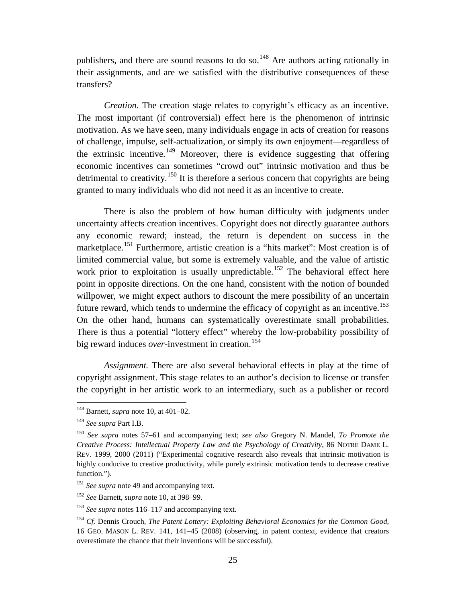publishers, and there are sound reasons to do so.<sup>[148](#page-25-0)</sup> Are authors acting rationally in their assignments, and are we satisfied with the distributive consequences of these transfers?

*Creation*. The creation stage relates to copyright's efficacy as an incentive. The most important (if controversial) effect here is the phenomenon of intrinsic motivation. As we have seen, many individuals engage in acts of creation for reasons of challenge, impulse, self-actualization, or simply its own enjoyment—regardless of the extrinsic incentive.<sup>[149](#page-25-1)</sup> Moreover, there is evidence suggesting that offering economic incentives can sometimes "crowd out" intrinsic motivation and thus be detrimental to creativity.<sup>[150](#page-25-2)</sup> It is therefore a serious concern that copyrights are being granted to many individuals who did not need it as an incentive to create.

There is also the problem of how human difficulty with judgments under uncertainty affects creation incentives. Copyright does not directly guarantee authors any economic reward; instead, the return is dependent on success in the marketplace.<sup>[151](#page-25-3)</sup> Furthermore, artistic creation is a "hits market": Most creation is of limited commercial value, but some is extremely valuable, and the value of artistic work prior to exploitation is usually unpredictable.<sup>[152](#page-25-4)</sup> The behavioral effect here point in opposite directions. On the one hand, consistent with the notion of bounded willpower, we might expect authors to discount the mere possibility of an uncertain future reward, which tends to undermine the efficacy of copyright as an incentive.<sup>[153](#page-25-5)</sup> On the other hand, humans can systematically overestimate small probabilities. There is thus a potential "lottery effect" whereby the low-probability possibility of big reward induces *over*-investment in creation.<sup>[154](#page-25-6)</sup>

*Assignment.* There are also several behavioral effects in play at the time of copyright assignment. This stage relates to an author's decision to license or transfer the copyright in her artistic work to an intermediary, such as a publisher or record

<span id="page-25-0"></span> <sup>148</sup> Barnett, *supra* note [10,](#page-2-8) at 401–02.

<span id="page-25-1"></span><sup>149</sup> *See supra* Part I.B.

<span id="page-25-2"></span><sup>150</sup> *See supra* notes [57](#page-11-8)[–61](#page-11-9) and accompanying text; *see also* Gregory N. Mandel, *To Promote the Creative Process: Intellectual Property Law and the Psychology of Creativity*, 86 NOTRE DAME L. REV. 1999, 2000 (2011) ("Experimental cognitive research also reveals that intrinsic motivation is highly conducive to creative productivity, while purely extrinsic motivation tends to decrease creative function.").

<span id="page-25-3"></span><sup>&</sup>lt;sup>151</sup> See supra note [49](#page-10-7) and accompanying text.

<span id="page-25-4"></span><sup>152</sup> *See* Barnett, *supra* note [10,](#page-2-8) at 398–99.

<span id="page-25-5"></span><sup>153</sup> *See supra* notes [116–](#page-19-8)[117](#page-19-11) and accompanying text.

<span id="page-25-6"></span><sup>154</sup> *Cf.* Dennis Crouch, *The Patent Lottery: Exploiting Behavioral Economics for the Common Good*, 16 GEO. MASON L. REV. 141, 141–45 (2008) (observing, in patent context, evidence that creators overestimate the chance that their inventions will be successful).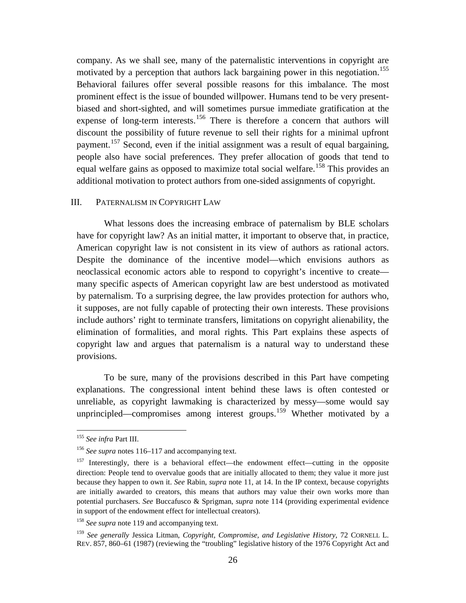company. As we shall see, many of the paternalistic interventions in copyright are motivated by a perception that authors lack bargaining power in this negotiation.<sup>[155](#page-26-1)</sup> Behavioral failures offer several possible reasons for this imbalance. The most prominent effect is the issue of bounded willpower. Humans tend to be very presentbiased and short-sighted, and will sometimes pursue immediate gratification at the expense of long-term interests.<sup>[156](#page-26-2)</sup> There is therefore a concern that authors will discount the possibility of future revenue to sell their rights for a minimal upfront payment.[157](#page-26-3) Second, even if the initial assignment was a result of equal bargaining, people also have social preferences. They prefer allocation of goods that tend to equal welfare gains as opposed to maximize total social welfare.<sup>[158](#page-26-4)</sup> This provides an additional motivation to protect authors from one-sided assignments of copyright.

## <span id="page-26-0"></span>III. PATERNALISM IN COPYRIGHT LAW

What lessons does the increasing embrace of paternalism by BLE scholars have for copyright law? As an initial matter, it important to observe that, in practice, American copyright law is not consistent in its view of authors as rational actors. Despite the dominance of the incentive model—which envisions authors as neoclassical economic actors able to respond to copyright's incentive to create many specific aspects of American copyright law are best understood as motivated by paternalism. To a surprising degree, the law provides protection for authors who, it supposes, are not fully capable of protecting their own interests. These provisions include authors' right to terminate transfers, limitations on copyright alienability, the elimination of formalities, and moral rights. This Part explains these aspects of copyright law and argues that paternalism is a natural way to understand these provisions.

To be sure, many of the provisions described in this Part have competing explanations. The congressional intent behind these laws is often contested or unreliable, as copyright lawmaking is characterized by messy—some would say unprincipled—compromises among interest groups.<sup>[159](#page-26-5)</sup> Whether motivated by a

<span id="page-26-6"></span> <sup>155</sup> *See infra* Part III.

<span id="page-26-2"></span><span id="page-26-1"></span><sup>156</sup> *See supra* notes [116–](#page-19-8)[117](#page-19-11) and accompanying text.

<span id="page-26-3"></span> $157$  Interestingly, there is a behavioral effect—the endowment effect—cutting in the opposite direction: People tend to overvalue goods that are initially allocated to them; they value it more just because they happen to own it. *See* Rabin, *supra* note [11,](#page-2-10) at 14. In the IP context, because copyrights are initially awarded to creators, this means that authors may value their own works more than potential purchasers. *See* Buccafusco & Sprigman, *supra* note [114](#page-19-10) (providing experimental evidence in support of the endowment effect for intellectual creators).

<span id="page-26-4"></span><sup>158</sup> *See supra* note [119](#page-20-3) and accompanying text.

<span id="page-26-5"></span><sup>159</sup> *See generally* Jessica Litman, *Copyright, Compromise, and Legislative History*, 72 CORNELL L. REV. 857, 860–61 (1987) (reviewing the "troubling" legislative history of the 1976 Copyright Act and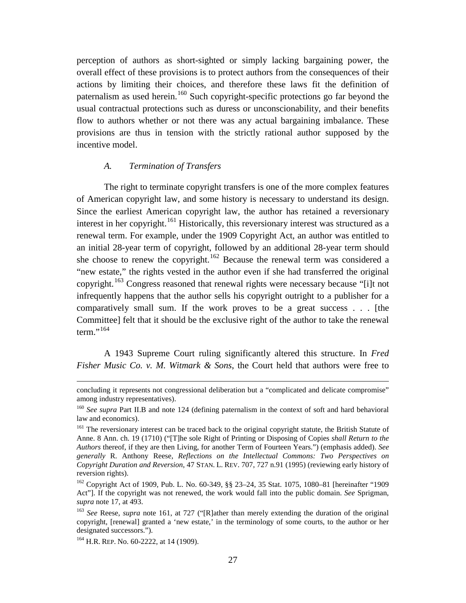perception of authors as short-sighted or simply lacking bargaining power, the overall effect of these provisions is to protect authors from the consequences of their actions by limiting their choices, and therefore these laws fit the definition of paternalism as used herein.<sup>[160](#page-27-2)</sup> Such copyright-specific protections go far beyond the usual contractual protections such as duress or unconscionability, and their benefits flow to authors whether or not there was any actual bargaining imbalance. These provisions are thus in tension with the strictly rational author supposed by the incentive model.

## <span id="page-27-1"></span><span id="page-27-0"></span>*A. Termination of Transfers*

The right to terminate copyright transfers is one of the more complex features of American copyright law, and some history is necessary to understand its design. Since the earliest American copyright law, the author has retained a reversionary interest in her copyright.<sup>[161](#page-27-3)</sup> Historically, this reversionary interest was structured as a renewal term. For example, under the 1909 Copyright Act, an author was entitled to an initial 28-year term of copyright, followed by an additional 28-year term should she choose to renew the copyright.<sup>[162](#page-27-4)</sup> Because the renewal term was considered a "new estate," the rights vested in the author even if she had transferred the original copyright.[163](#page-27-5) Congress reasoned that renewal rights were necessary because "[i]t not infrequently happens that the author sells his copyright outright to a publisher for a comparatively small sum. If the work proves to be a great success . . . [the Committee] felt that it should be the exclusive right of the author to take the renewal  $term.$ <sup>[164](#page-27-6)</sup>

<span id="page-27-7"></span>A 1943 Supreme Court ruling significantly altered this structure. In *Fred Fisher Music Co. v. M. Witmark & Sons*, the Court held that authors were free to

-

concluding it represents not congressional deliberation but a "complicated and delicate compromise" among industry representatives).

<span id="page-27-2"></span><sup>&</sup>lt;sup>160</sup> *See supra* Part II.B and note [124](#page-20-1) (defining paternalism in the context of soft and hard behavioral law and economics).

<span id="page-27-3"></span><sup>&</sup>lt;sup>161</sup> The reversionary interest can be traced back to the original copyright statute, the British Statute of Anne. 8 Ann. ch. 19 (1710) ("[T]he sole Right of Printing or Disposing of Copies *shall Return to the Authors* thereof, if they are then Living, for another Term of Fourteen Years.") (emphasis added). *See generally* R. Anthony Reese, *Reflections on the Intellectual Commons: Two Perspectives on Copyright Duration and Reversion*, 47 STAN. L. REV. 707, 727 n.91 (1995) (reviewing early history of reversion rights).

<span id="page-27-4"></span><sup>162</sup> Copyright Act of 1909, Pub. L. No. 60-349, §§ 23–24, 35 Stat. 1075, 1080–81 [hereinafter "1909 Act"]. If the copyright was not renewed, the work would fall into the public domain. *See* Sprigman, *supra* note [17,](#page-3-1) at 493.

<span id="page-27-5"></span><sup>&</sup>lt;sup>163</sup> See Reese, *supra* note [161,](#page-27-1) at 727 ("[R]ather than merely extending the duration of the original copyright, [renewal] granted a 'new estate,' in the terminology of some courts, to the author or her designated successors.").

<span id="page-27-6"></span><sup>&</sup>lt;sup>164</sup> H.R. REP. No. 60-2222, at 14 (1909).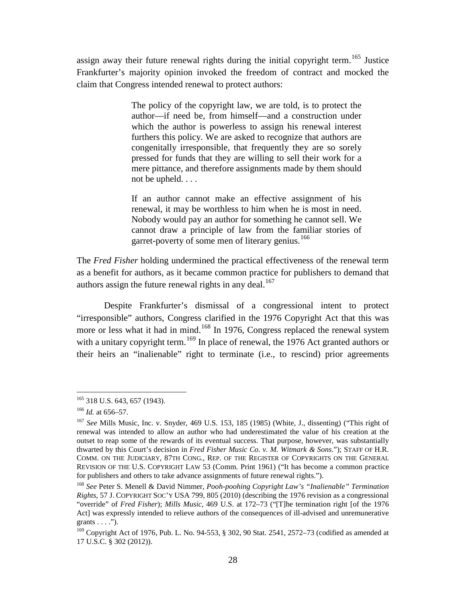assign away their future renewal rights during the initial copyright term.<sup>[165](#page-28-2)</sup> Justice Frankfurter's majority opinion invoked the freedom of contract and mocked the claim that Congress intended renewal to protect authors:

> <span id="page-28-7"></span>The policy of the copyright law, we are told, is to protect the author—if need be, from himself—and a construction under which the author is powerless to assign his renewal interest furthers this policy. We are asked to recognize that authors are congenitally irresponsible, that frequently they are so sorely pressed for funds that they are willing to sell their work for a mere pittance, and therefore assignments made by them should not be upheld. . . .

> <span id="page-28-8"></span><span id="page-28-0"></span>If an author cannot make an effective assignment of his renewal, it may be worthless to him when he is most in need. Nobody would pay an author for something he cannot sell. We cannot draw a principle of law from the familiar stories of garret-poverty of some men of literary genius.<sup>[166](#page-28-3)</sup>

The *Fred Fisher* holding undermined the practical effectiveness of the renewal term as a benefit for authors, as it became common practice for publishers to demand that authors assign the future renewal rights in any deal.<sup>[167](#page-28-4)</sup>

<span id="page-28-9"></span><span id="page-28-1"></span>Despite Frankfurter's dismissal of a congressional intent to protect "irresponsible" authors, Congress clarified in the 1976 Copyright Act that this was more or less what it had in mind.<sup>[168](#page-28-5)</sup> In 1976, Congress replaced the renewal system with a unitary copyright term.<sup>[169](#page-28-6)</sup> In place of renewal, the 1976 Act granted authors or their heirs an "inalienable" right to terminate (i.e., to rescind) prior agreements

<span id="page-28-2"></span><sup>&</sup>lt;sup>165</sup> 318 U.S. 643, 657 (1943).

<span id="page-28-3"></span><sup>166</sup> *Id.* at 656–57.

<span id="page-28-4"></span><sup>167</sup> *See* Mills Music, Inc. v. Snyder, 469 U.S. 153, 185 (1985) (White, J., dissenting) ("This right of renewal was intended to allow an author who had underestimated the value of his creation at the outset to reap some of the rewards of its eventual success. That purpose, however, was substantially thwarted by this Court's decision in *Fred Fisher Music Co. v. M. Witmark & Sons*."); STAFF OF H.R. COMM. ON THE JUDICIARY, 87TH CONG., REP. OF THE REGISTER OF COPYRIGHTS ON THE GENERAL REVISION OF THE U.S. COPYRIGHT LAW 53 (Comm. Print 1961) ("It has become a common practice for publishers and others to take advance assignments of future renewal rights.").

<span id="page-28-5"></span><sup>168</sup> *See* Peter S. Menell & David Nimmer, *Pooh-poohing Copyright Law's "Inalienable" Termination Rights*, 57 J. COPYRIGHT SOC'Y USA 799, 805 (2010) (describing the 1976 revision as a congressional "override" of *Fred Fisher*); *Mills Music*, 469 U.S. at 172–73 ("[T]he termination right [of the 1976 Act] was expressly intended to relieve authors of the consequences of ill-advised and unremunerative grants  $\dots$ .").

<span id="page-28-6"></span><sup>169</sup> Copyright Act of 1976, Pub. L. No. 94-553, § 302, 90 Stat. 2541, 2572–73 (codified as amended at 17 U.S.C. § 302 (2012)).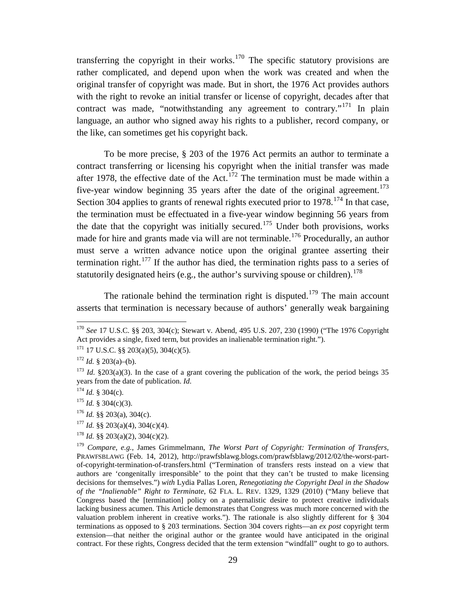transferring the copyright in their works.<sup>[170](#page-29-0)</sup> The specific statutory provisions are rather complicated, and depend upon when the work was created and when the original transfer of copyright was made. But in short, the 1976 Act provides authors with the right to revoke an initial transfer or license of copyright, decades after that contract was made, "notwithstanding any agreement to contrary."<sup>[171](#page-29-1)</sup> In plain language, an author who signed away his rights to a publisher, record company, or the like, can sometimes get his copyright back.

<span id="page-29-11"></span>To be more precise, § 203 of the 1976 Act permits an author to terminate a contract transferring or licensing his copyright when the initial transfer was made after 1978, the effective date of the Act.<sup>[172](#page-29-2)</sup> The termination must be made within a five-year window beginning 35 years after the date of the original agreement.<sup>[173](#page-29-3)</sup> Section 304 applies to grants of renewal rights executed prior to  $1978$ <sup> $174$ </sup> In that case, the termination must be effectuated in a five-year window beginning 56 years from the date that the copyright was initially secured.<sup>[175](#page-29-5)</sup> Under both provisions, works made for hire and grants made via will are not terminable.<sup>[176](#page-29-6)</sup> Procedurally, an author must serve a written advance notice upon the original grantee asserting their termination right.<sup>[177](#page-29-7)</sup> If the author has died, the termination rights pass to a series of statutorily designated heirs (e.g., the author's surviving spouse or children).<sup>[178](#page-29-8)</sup>

<span id="page-29-10"></span>The rationale behind the termination right is disputed.<sup>[179](#page-29-9)</sup> The main account asserts that termination is necessary because of authors' generally weak bargaining

<span id="page-29-6"></span><sup>176</sup> *Id.* §§ 203(a), 304(c).

<span id="page-29-7"></span> $177$  *Id.* §§ 203(a)(4), 304(c)(4).

<span id="page-29-0"></span> <sup>170</sup> *See* 17 U.S.C. §§ 203, 304(c); Stewart v. Abend, 495 U.S. 207, 230 (1990) ("The 1976 Copyright Act provides a single, fixed term, but provides an inalienable termination right.").

<span id="page-29-1"></span> $171$  17 U.S.C. §§ 203(a)(5), 304(c)(5).

<span id="page-29-2"></span> $172$  *Id.* § 203(a)–(b).

<span id="page-29-3"></span><sup>&</sup>lt;sup>173</sup> *Id.* §203(a)(3). In the case of a grant covering the publication of the work, the period beings 35 years from the date of publication. *Id.*

<span id="page-29-4"></span> $174$  *Id.* § 304(c).

<span id="page-29-5"></span> $175$  *Id.* § 304(c)(3).

<span id="page-29-8"></span> $178$  *Id.* §§ 203(a)(2), 304(c)(2).

<span id="page-29-9"></span><sup>179</sup> *Compare, e.g.*, James Grimmelmann, *The Worst Part of Copyright: Termination of Transfers,* PRAWFSBLAWG (Feb. 14, 2012), http://prawfsblawg.blogs.com/prawfsblawg/2012/02/the-worst-partof-copyright-termination-of-transfers.html ("Termination of transfers rests instead on a view that authors are 'congenitally irresponsible' to the point that they can't be trusted to make licensing decisions for themselves.") *with* Lydia Pallas Loren, *Renegotiating the Copyright Deal in the Shadow of the "Inalienable" Right to Terminate*, 62 FLA. L. REV. 1329, 1329 (2010) ("Many believe that Congress based the [termination] policy on a paternalistic desire to protect creative individuals lacking business acumen. This Article demonstrates that Congress was much more concerned with the valuation problem inherent in creative works."). The rationale is also slightly different for § 304 terminations as opposed to § 203 terminations. Section 304 covers rights—an *ex post* copyright term extension—that neither the original author or the grantee would have anticipated in the original contract. For these rights, Congress decided that the term extension "windfall" ought to go to authors.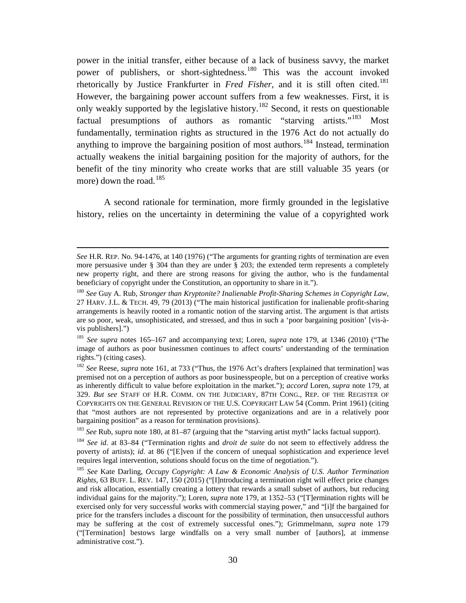<span id="page-30-1"></span><span id="page-30-0"></span>power in the initial transfer, either because of a lack of business savvy, the market power of publishers, or short-sightedness.<sup>[180](#page-30-2)</sup> This was the account invoked rhetorically by Justice Frankfurter in *Fred Fisher*, and it is still often cited. [181](#page-30-3) However, the bargaining power account suffers from a few weaknesses. First, it is only weakly supported by the legislative history.[182](#page-30-4) Second, it rests on questionable factual presumptions of authors as romantic "starving artists."[183](#page-30-5) Most fundamentally, termination rights as structured in the 1976 Act do not actually do anything to improve the bargaining position of most authors.<sup>[184](#page-30-6)</sup> Instead, termination actually weakens the initial bargaining position for the majority of authors, for the benefit of the tiny minority who create works that are still valuable 35 years (or more) down the road.<sup>[185](#page-30-7)</sup>

<span id="page-30-8"></span>A second rationale for termination, more firmly grounded in the legislative history, relies on the uncertainty in determining the value of a copyrighted work

-

*See* H.R. REP. No. 94-1476, at 140 (1976) ("The arguments for granting rights of termination are even more persuasive under § 304 than they are under § 203; the extended term represents a completely new property right, and there are strong reasons for giving the author, who is the fundamental beneficiary of copyright under the Constitution, an opportunity to share in it.").

<span id="page-30-2"></span><sup>180</sup> *See* Guy A. Rub*, Stronger than Kryptonite? Inalienable Profit-Sharing Schemes in Copyright Law*, 27 HARV. J.L. & TECH. 49, 79 (2013) ("The main historical justification for inalienable profit-sharing arrangements is heavily rooted in a romantic notion of the starving artist. The argument is that artists are so poor, weak, unsophisticated, and stressed, and thus in such a 'poor bargaining position' [vis-àvis publishers].")

<span id="page-30-3"></span><sup>181</sup> *See supra* notes [165–](#page-28-7)[167](#page-28-8) and accompanying text; Loren, *supra* note [179,](#page-29-10) at 1346 (2010) ("The image of authors as poor businessmen continues to affect courts' understanding of the termination rights.") (citing cases).

<span id="page-30-4"></span><sup>182</sup> *See* Reese, *supra* note [161,](#page-27-1) at 733 ("Thus, the 1976 Act's drafters [explained that termination] was premised not on a perception of authors as poor businesspeople, but on a perception of creative works as inherently difficult to value before exploitation in the market."); *accord* Loren, *supra* note [179,](#page-29-10) at 329. *But see* STAFF OF H.R. COMM. ON THE JUDICIARY, 87TH CONG., REP. OF THE REGISTER OF COPYRIGHTS ON THE GENERAL REVISION OF THE U.S. COPYRIGHT LAW 54 (Comm. Print 1961) (citing that "most authors are not represented by protective organizations and are in a relatively poor bargaining position" as a reason for termination provisions).

<span id="page-30-5"></span><sup>183</sup> *See* Rub, *supra* note [180,](#page-30-0) at 81–87 (arguing that the "starving artist myth" lacks factual support).

<span id="page-30-6"></span><sup>184</sup> *See id.* at 83–84 ("Termination rights and *droit de suite* do not seem to effectively address the poverty of artists); *id.* at 86 ("[E]ven if the concern of unequal sophistication and experience level requires legal intervention, solutions should focus on the time of negotiation.").

<span id="page-30-7"></span><sup>185</sup> *See* Kate Darling, *Occupy Copyright: A Law & Economic Analysis of U.S. Author Termination Rights*, 63 BUFF. L. REV. 147, 150 (2015) ("[I]ntroducing a termination right will effect price changes and risk allocation, essentially creating a lottery that rewards a small subset of authors, but reducing individual gains for the majority."); Loren, *supra* note [179,](#page-29-10) at 1352–53 ("[T]ermination rights will be exercised only for very successful works with commercial staying power," and "[i]f the bargained for price for the transfers includes a discount for the possibility of termination, then unsuccessful authors may be suffering at the cost of extremely successful ones."); Grimmelmann, *supra* note [179](#page-29-10) ("[Termination] bestows large windfalls on a very small number of [authors], at immense administrative cost.").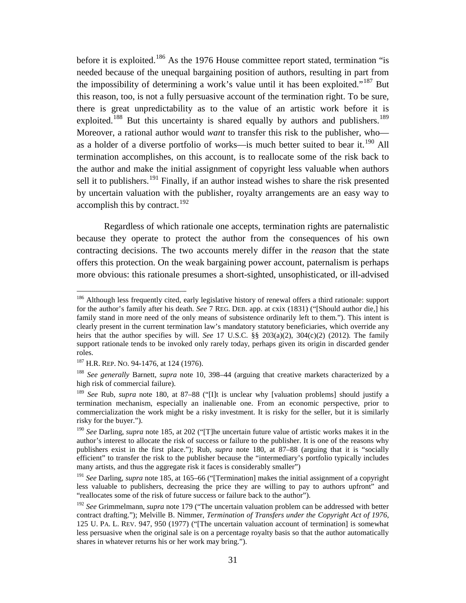<span id="page-31-1"></span><span id="page-31-0"></span>before it is exploited.<sup>[186](#page-31-2)</sup> As the 1976 House committee report stated, termination "is needed because of the unequal bargaining position of authors, resulting in part from the impossibility of determining a work's value until it has been exploited."[187](#page-31-3) But this reason, too, is not a fully persuasive account of the termination right. To be sure, there is great unpredictability as to the value of an artistic work before it is exploited.<sup>[188](#page-31-4)</sup> But this uncertainty is shared equally by authors and publishers.<sup>[189](#page-31-5)</sup> Moreover, a rational author would *want* to transfer this risk to the publisher, who— as a holder of a diverse portfolio of works—is much better suited to bear it.<sup>[190](#page-31-6)</sup> All termination accomplishes, on this account, is to reallocate some of the risk back to the author and make the initial assignment of copyright less valuable when authors sell it to publishers.<sup>[191](#page-31-7)</sup> Finally, if an author instead wishes to share the risk presented by uncertain valuation with the publisher, royalty arrangements are an easy way to accomplish this by contract.<sup>[192](#page-31-8)</sup>

<span id="page-31-9"></span>Regardless of which rationale one accepts, termination rights are paternalistic because they operate to protect the author from the consequences of his own contracting decisions. The two accounts merely differ in the *reason* that the state offers this protection. On the weak bargaining power account, paternalism is perhaps more obvious: this rationale presumes a short-sighted, unsophisticated, or ill-advised

<span id="page-31-2"></span><sup>&</sup>lt;sup>186</sup> Although less frequently cited, early legislative history of renewal offers a third rationale: support for the author's family after his death. *See* 7 REG. DEB. app. at cxix (1831) ("[Should author die,] his family stand in more need of the only means of subsistence ordinarily left to them."). This intent is clearly present in the current termination law's mandatory statutory beneficiaries, which override any heirs that the author specifies by will. *See* 17 U.S.C. §§ 203(a)(2), 304(c)(2) (2012). The family support rationale tends to be invoked only rarely today, perhaps given its origin in discarded gender roles.

<span id="page-31-3"></span><sup>&</sup>lt;sup>187</sup> H.R. REP. No. 94-1476, at 124 (1976).

<span id="page-31-4"></span><sup>188</sup> *See generally* Barnett, *supra* note [10,](#page-2-8) 398–44 (arguing that creative markets characterized by a high risk of commercial failure).

<span id="page-31-5"></span><sup>189</sup> *See* Rub, *supra* note [180,](#page-30-0) at 87–88 ("[I]t is unclear why [valuation problems] should justify a termination mechanism, especially an inalienable one. From an economic perspective, prior to commercialization the work might be a risky investment. It is risky for the seller, but it is similarly risky for the buyer.").

<span id="page-31-6"></span><sup>190</sup> *See* Darling, *supra* note [185,](#page-30-8) at 202 ("[T]he uncertain future value of artistic works makes it in the author's interest to allocate the risk of success or failure to the publisher. It is one of the reasons why publishers exist in the first place."); Rub, *supra* note [180,](#page-30-0) at 87–88 (arguing that it is "socially efficient" to transfer the risk to the publisher because the "intermediary's portfolio typically includes many artists, and thus the aggregate risk it faces is considerably smaller")

<span id="page-31-7"></span><sup>191</sup> *See* Darling, *supra* note [185,](#page-30-8) at 165–66 ("[Termination] makes the initial assignment of a copyright less valuable to publishers, decreasing the price they are willing to pay to authors upfront" and "reallocates some of the risk of future success or failure back to the author").

<span id="page-31-8"></span><sup>192</sup> *See* Grimmelmann, *supra* note [179](#page-29-10) ("The uncertain valuation problem can be addressed with better contract drafting."); Melville B. Nimmer, *Termination of Transfers under the Copyright Act of 1976*, 125 U. PA. L. REV. 947, 950 (1977) ("[The uncertain valuation account of termination] is somewhat less persuasive when the original sale is on a percentage royalty basis so that the author automatically shares in whatever returns his or her work may bring.").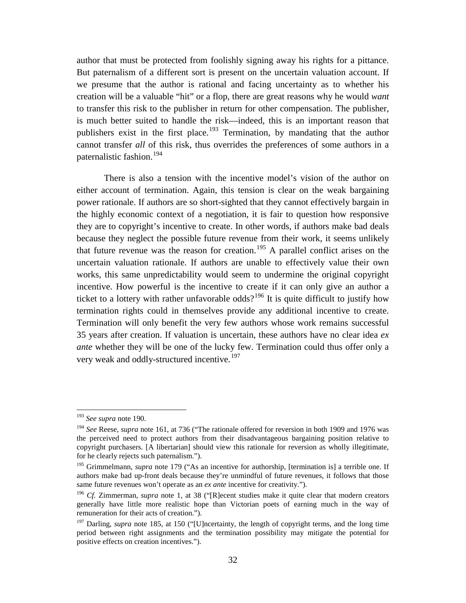author that must be protected from foolishly signing away his rights for a pittance. But paternalism of a different sort is present on the uncertain valuation account. If we presume that the author is rational and facing uncertainty as to whether his creation will be a valuable "hit" or a flop, there are great reasons why he would *want*  to transfer this risk to the publisher in return for other compensation. The publisher, is much better suited to handle the risk—indeed, this is an important reason that publishers exist in the first place.<sup>[193](#page-32-0)</sup> Termination, by mandating that the author cannot transfer *all* of this risk, thus overrides the preferences of some authors in a paternalistic fashion.[194](#page-32-1)

There is also a tension with the incentive model's vision of the author on either account of termination. Again, this tension is clear on the weak bargaining power rationale. If authors are so short-sighted that they cannot effectively bargain in the highly economic context of a negotiation, it is fair to question how responsive they are to copyright's incentive to create. In other words, if authors make bad deals because they neglect the possible future revenue from their work, it seems unlikely that future revenue was the reason for creation.<sup>[195](#page-32-2)</sup> A parallel conflict arises on the uncertain valuation rationale. If authors are unable to effectively value their own works, this same unpredictability would seem to undermine the original copyright incentive. How powerful is the incentive to create if it can only give an author a ticket to a lottery with rather unfavorable odds?<sup>[196](#page-32-3)</sup> It is quite difficult to justify how termination rights could in themselves provide any additional incentive to create. Termination will only benefit the very few authors whose work remains successful 35 years after creation. If valuation is uncertain, these authors have no clear idea *ex ante* whether they will be one of the lucky few. Termination could thus offer only a very weak and oddly-structured incentive.<sup>[197](#page-32-4)</sup>

<span id="page-32-0"></span> <sup>193</sup> *See supra* note [190.](#page-31-9)

<span id="page-32-1"></span><sup>&</sup>lt;sup>194</sup> See Reese, *supra* note [161,](#page-27-1) at 736 ("The rationale offered for reversion in both 1909 and 1976 was the perceived need to protect authors from their disadvantageous bargaining position relative to copyright purchasers. [A libertarian] should view this rationale for reversion as wholly illegitimate, for he clearly rejects such paternalism.").

<span id="page-32-2"></span><sup>&</sup>lt;sup>195</sup> Grimmelmann, *supra* note [179](#page-29-10) ("As an incentive for authorship, [termination is] a terrible one. If authors make bad up-front deals because they're unmindful of future revenues, it follows that those same future revenues won't operate as an *ex ante* incentive for creativity.").

<span id="page-32-3"></span><sup>&</sup>lt;sup>196</sup> *Cf.* Zimmerman, *supra* note [1,](#page-1-9) at 38 ("[R]ecent studies make it quite clear that modern creators generally have little more realistic hope than Victorian poets of earning much in the way of remuneration for their acts of creation.").

<span id="page-32-4"></span><sup>&</sup>lt;sup>197</sup> Darling, *supra* note [185,](#page-30-8) at 150 ("[U]ncertainty, the length of copyright terms, and the long time period between right assignments and the termination possibility may mitigate the potential for positive effects on creation incentives.").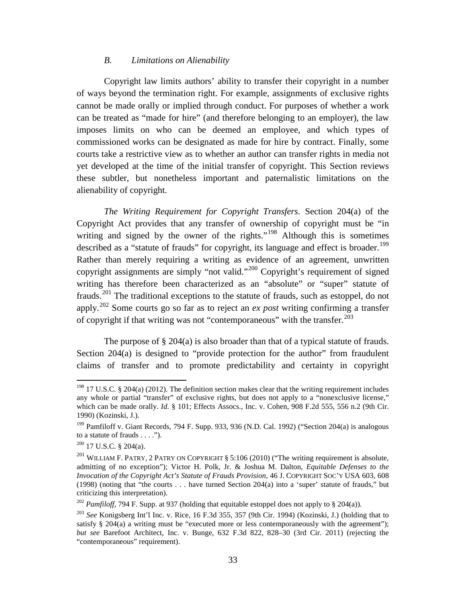## *B. Limitations on Alienability*

<span id="page-33-0"></span>Copyright law limits authors' ability to transfer their copyright in a number of ways beyond the termination right. For example, assignments of exclusive rights cannot be made orally or implied through conduct. For purposes of whether a work can be treated as "made for hire" (and therefore belonging to an employer), the law imposes limits on who can be deemed an employee, and which types of commissioned works can be designated as made for hire by contract. Finally, some courts take a restrictive view as to whether an author can transfer rights in media not yet developed at the time of the initial transfer of copyright. This Section reviews these subtler, but nonetheless important and paternalistic limitations on the alienability of copyright.

*The Writing Requirement for Copyright Transfers.* Section 204(a) of the Copyright Act provides that any transfer of ownership of copyright must be "in writing and signed by the owner of the rights."<sup>[198](#page-33-1)</sup> Although this is sometimes described as a "statute of frauds" for copyright, its language and effect is broader.<sup>[199](#page-33-2)</sup> Rather than merely requiring a writing as evidence of an agreement, unwritten copyright assignments are simply "not valid."[200](#page-33-3) Copyright's requirement of signed writing has therefore been characterized as an "absolute" or "super" statute of frauds.[201](#page-33-4) The traditional exceptions to the statute of frauds, such as estoppel, do not apply. [202](#page-33-5) Some courts go so far as to reject an *ex post* writing confirming a transfer of copyright if that writing was not "contemporaneous" with the transfer.<sup>[203](#page-33-6)</sup>

<span id="page-33-7"></span>The purpose of  $\S 204(a)$  is also broader than that of a typical statute of frauds. Section  $204(a)$  is designed to "provide protection for the author" from fraudulent claims of transfer and to promote predictability and certainty in copyright

<span id="page-33-1"></span><sup>&</sup>lt;sup>198</sup> 17 U.S.C. § 204(a) (2012). The definition section makes clear that the writing requirement includes any whole or partial "transfer" of exclusive rights, but does not apply to a "nonexclusive license," which can be made orally. *Id.* § 101; Effects Assocs., Inc. v. Cohen, 908 F.2d 555, 556 n.2 (9th Cir. 1990) (Kozinski, J.).

<span id="page-33-2"></span><sup>&</sup>lt;sup>199</sup> Pamfiloff v. Giant Records, 794 F. Supp. 933, 936 (N.D. Cal. 1992) ("Section 204(a) is analogous to a statute of frauds . . . .").

<span id="page-33-3"></span> $200$  17 U.S.C. § 204(a).

<span id="page-33-4"></span><sup>&</sup>lt;sup>201</sup> WILLIAM F. PATRY, 2 PATRY ON COPYRIGHT § 5:106 (2010) ("The writing requirement is absolute, admitting of no exception"); Victor H. Polk, Jr. & Joshua M. Dalton, *Equitable Defenses to the Invocation of the Copyright Act's Statute of Frauds Provision*, 46 J. COPYRIGHT SOC'Y USA 603, 608 (1998) (noting that "the courts . . . have turned Section 204(a) into a 'super' statute of frauds," but criticizing this interpretation).

<span id="page-33-5"></span><sup>&</sup>lt;sup>202</sup> *Pamfiloff*, 794 F. Supp. at 937 (holding that equitable estoppel does not apply to § 204(a)).

<span id="page-33-6"></span><sup>203</sup> *See* Konigsberg Int'l Inc. v. Rice, 16 F.3d 355, 357 (9th Cir. 1994) (Kozinski, J.) (holding that to satisfy § 204(a) a writing must be "executed more or less contemporaneously with the agreement"); *but see* Barefoot Architect, Inc. v. Bunge, 632 F.3d 822, 828–30 (3rd Cir. 2011) (rejecting the "contemporaneous" requirement).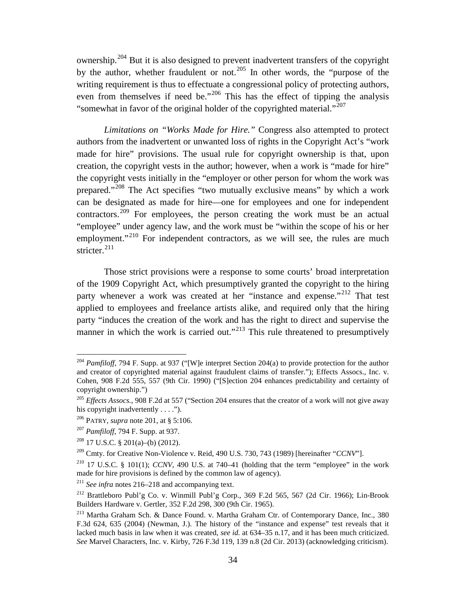<span id="page-34-0"></span>ownership.[204](#page-34-2) But it is also designed to prevent inadvertent transfers of the copyright by the author, whether fraudulent or not.<sup>[205](#page-34-3)</sup> In other words, the "purpose of the writing requirement is thus to effectuate a congressional policy of protecting authors, even from themselves if need be."<sup>[206](#page-34-4)</sup> This has the effect of tipping the analysis "somewhat in favor of the original holder of the copyrighted material."<sup>[207](#page-34-5)</sup>

<span id="page-34-1"></span>*Limitations on "Works Made for Hire."* Congress also attempted to protect authors from the inadvertent or unwanted loss of rights in the Copyright Act's "work made for hire" provisions. The usual rule for copyright ownership is that, upon creation, the copyright vests in the author; however, when a work is "made for hire" the copyright vests initially in the "employer or other person for whom the work was prepared."[208](#page-34-6) The Act specifies "two mutually exclusive means" by which a work can be designated as made for hire—one for employees and one for independent contractors.<sup>[209](#page-34-7)</sup> For employees, the person creating the work must be an actual "employee" under agency law, and the work must be "within the scope of his or her employment."<sup>[210](#page-34-8)</sup> For independent contractors, as we will see, the rules are much stricter. [211](#page-34-9)

Those strict provisions were a response to some courts' broad interpretation of the 1909 Copyright Act, which presumptively granted the copyright to the hiring party whenever a work was created at her "instance and expense."<sup>[212](#page-34-10)</sup> That test applied to employees and freelance artists alike, and required only that the hiring party "induces the creation of the work and has the right to direct and supervise the manner in which the work is carried out."<sup>[213](#page-34-11)</sup> This rule threatened to presumptively

<span id="page-34-2"></span><sup>&</sup>lt;sup>204</sup> *Pamfiloff*, 794 F. Supp. at 937 ("[W]e interpret Section 204(a) to provide protection for the author and creator of copyrighted material against fraudulent claims of transfer."); Effects Assocs., Inc. v. Cohen, 908 F.2d 555, 557 (9th Cir. 1990) ("[S]ection 204 enhances predictability and certainty of copyright ownership.")

<span id="page-34-3"></span><sup>&</sup>lt;sup>205</sup> *Effects Assocs.*, 908 F.2d at 557 ("Section 204 ensures that the creator of a work will not give away his copyright inadvertently  $\dots$ .").

<span id="page-34-4"></span><sup>206</sup> PATRY, *supra* note [201,](#page-33-7) at § 5:106.

<span id="page-34-5"></span><sup>207</sup> *Pamfiloff*, 794 F. Supp. at 937.

 $208$  17 U.S.C. § 201(a)–(b) (2012).

<span id="page-34-7"></span><span id="page-34-6"></span><sup>&</sup>lt;sup>209</sup> Cmty. for Creative Non-Violence v. Reid, 490 U.S. 730, 743 (1989) [hereinafter "*CCNV*"].

<span id="page-34-8"></span><sup>&</sup>lt;sup>210</sup> 17 U.S.C. § 101(1); *CCNV*, 490 U.S. at 740–41 (holding that the term "employee" in the work made for hire provisions is defined by the common law of agency).

<span id="page-34-9"></span><sup>211</sup> *See infra* notes [216](#page-35-2)[–218](#page-35-3) and accompanying text.

<span id="page-34-10"></span><sup>212</sup> Brattleboro Publ'g Co. v. Winmill Publ'g Corp., 369 F.2d 565, 567 (2d Cir. 1966); Lin-Brook Builders Hardware v. Gertler, 352 F.2d 298, 300 (9th Cir. 1965).

<span id="page-34-11"></span><sup>213</sup> Martha Graham Sch. & Dance Found. v. Martha Graham Ctr. of Contemporary Dance, Inc., 380 F.3d 624, 635 (2004) (Newman, J.). The history of the "instance and expense" test reveals that it lacked much basis in law when it was created, *see id.* at 634–35 n.17, and it has been much criticized. *See* Marvel Characters, Inc. v. Kirby, 726 F.3d 119, 139 n.8 (2d Cir. 2013) (acknowledging criticism).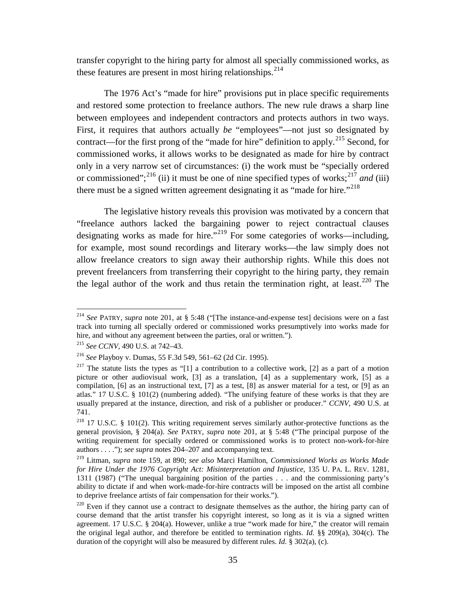transfer copyright to the hiring party for almost all specially commissioned works, as these features are present in most hiring relationships.<sup>[214](#page-35-4)</sup>

The 1976 Act's "made for hire" provisions put in place specific requirements and restored some protection to freelance authors. The new rule draws a sharp line between employees and independent contractors and protects authors in two ways. First, it requires that authors actually *be* "employees"—not just so designated by contract—for the first prong of the "made for hire" definition to apply.<sup>[215](#page-35-5)</sup> Second, for commissioned works, it allows works to be designated as made for hire by contract only in a very narrow set of circumstances: (i) the work must be "specially ordered or commissioned";<sup>[216](#page-35-6)</sup> (ii) it must be one of nine specified types of works;<sup>[217](#page-35-7)</sup> and (iii) there must be a signed written agreement designating it as "made for hire."<sup> $218$ </sup>

<span id="page-35-3"></span><span id="page-35-2"></span><span id="page-35-1"></span>The legislative history reveals this provision was motivated by a concern that "freelance authors lacked the bargaining power to reject contractual clauses designating works as made for hire."<sup>[219](#page-35-9)</sup> For some categories of works—including, for example, most sound recordings and literary works—the law simply does not allow freelance creators to sign away their authorship rights. While this does not prevent freelancers from transferring their copyright to the hiring party, they remain the legal author of the work and thus retain the termination right, at least.<sup>[220](#page-35-10)</sup> The

<span id="page-35-4"></span><span id="page-35-0"></span> <sup>214</sup> *See* PATRY, *supra* note [201,](#page-33-7) at § 5:48 ("[The instance-and-expense test] decisions were on a fast track into turning all specially ordered or commissioned works presumptively into works made for hire, and without any agreement between the parties, oral or written.").

<sup>215</sup> *See CCNV*, 490 U.S. at 742–43.

<span id="page-35-6"></span><span id="page-35-5"></span><sup>216</sup> *See* Playboy v. Dumas, 55 F.3d 549, 561–62 (2d Cir. 1995).

<span id="page-35-7"></span><sup>&</sup>lt;sup>217</sup> The statute lists the types as "[1] a contribution to a collective work, [2] as a part of a motion picture or other audiovisual work, [3] as a translation, [4] as a supplementary work, [5] as a compilation, [6] as an instructional text, [7] as a test, [8] as answer material for a test, or [9] as an atlas." 17 U.S.C. § 101(2) (numbering added). "The unifying feature of these works is that they are usually prepared at the instance, direction, and risk of a publisher or producer." *CCNV*, 490 U.S. at 741.

<span id="page-35-8"></span> $218$  17 U.S.C. § 101(2). This writing requirement serves similarly author-protective functions as the general provision, § 204(a). *See* PATRY, *supra* note [201,](#page-33-7) at § 5:48 ("The principal purpose of the writing requirement for specially ordered or commissioned works is to protect non-work-for-hire authors . . . ."); *see supra* notes [204](#page-34-0)[–207](#page-34-1) and accompanying text.

<span id="page-35-9"></span><sup>219</sup> Litman, *supra* note [159,](#page-26-6) at 890; *see also* Marci Hamilton, *Commissioned Works as Works Made for Hire Under the 1976 Copyright Act: Misinterpretation and Injustice*, 135 U. PA. L. REV. 1281, 1311 (1987) ("The unequal bargaining position of the parties . . . and the commissioning party's ability to dictate if and when work-made-for-hire contracts will be imposed on the artist all combine to deprive freelance artists of fair compensation for their works.").

<span id="page-35-10"></span> $220$  Even if they cannot use a contract to designate themselves as the author, the hiring party can of course demand that the artist transfer his copyright interest, so long as it is via a signed written agreement. 17 U.S.C. § 204(a). However, unlike a true "work made for hire," the creator will remain the original legal author, and therefore be entitled to termination rights. *Id.* §§ 209(a), 304(c). The duration of the copyright will also be measured by different rules. *Id.* § 302(a), (c).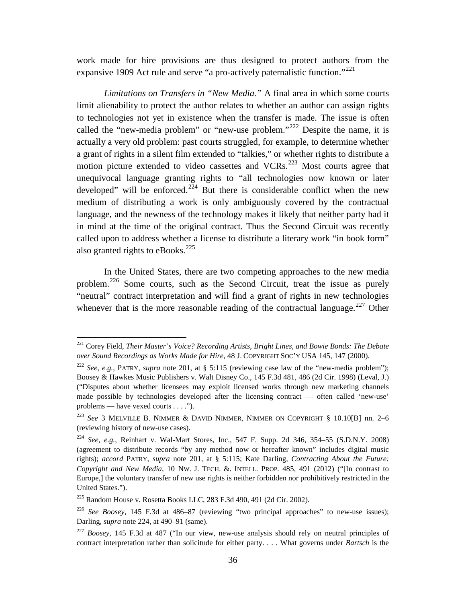<span id="page-36-0"></span>work made for hire provisions are thus designed to protect authors from the expansive 1909 Act rule and serve "a pro-actively paternalistic function."<sup>[221](#page-36-2)</sup>

<span id="page-36-9"></span>*Limitations on Transfers in "New Media."* A final area in which some courts limit alienability to protect the author relates to whether an author can assign rights to technologies not yet in existence when the transfer is made. The issue is often called the "new-media problem" or "new-use problem."<sup>[222](#page-36-3)</sup> Despite the name, it is actually a very old problem: past courts struggled, for example, to determine whether a grant of rights in a silent film extended to "talkies," or whether rights to distribute a motion picture extended to video cassettes and VCRs.<sup>[223](#page-36-4)</sup> Most courts agree that unequivocal language granting rights to "all technologies now known or later developed" will be enforced.<sup>[224](#page-36-5)</sup> But there is considerable conflict when the new medium of distributing a work is only ambiguously covered by the contractual language, and the newness of the technology makes it likely that neither party had it in mind at the time of the original contract. Thus the Second Circuit was recently called upon to address whether a license to distribute a literary work "in book form" also granted rights to eBooks.<sup>[225](#page-36-6)</sup>

<span id="page-36-1"></span>In the United States, there are two competing approaches to the new media problem.[226](#page-36-7) Some courts, such as the Second Circuit, treat the issue as purely "neutral" contract interpretation and will find a grant of rights in new technologies whenever that is the more reasonable reading of the contractual language.<sup>[227](#page-36-8)</sup> Other

<span id="page-36-2"></span> <sup>221</sup> Corey Field, *Their Master's Voice? Recording Artists, Bright Lines, and Bowie Bonds: The Debate over Sound Recordings as Works Made for Hire*, 48 J. COPYRIGHT SOC'Y USA 145, 147 (2000).

<span id="page-36-3"></span><sup>222</sup> *See, e.g.*, PATRY, *supra* note [201,](#page-33-7) at § 5:115 (reviewing case law of the "new-media problem"); Boosey & Hawkes Music Publishers v. Walt Disney Co., 145 F.3d 481, 486 (2d Cir. 1998) (Leval, J.) ("Disputes about whether licensees may exploit licensed works through new marketing channels made possible by technologies developed after the licensing contract — often called 'new-use' problems — have vexed courts . . . .").

<span id="page-36-4"></span><sup>223</sup> *See* 3 MELVILLE B. NIMMER & DAVID NIMMER, NIMMER ON COPYRIGHT § 10.10[B] nn. 2–6 (reviewing history of new-use cases).

<span id="page-36-5"></span><sup>224</sup> *See, e.g.*, Reinhart v. Wal-Mart Stores, Inc., 547 F. Supp. 2d 346, 354–55 (S.D.N.Y. 2008) (agreement to distribute records "by any method now or hereafter known" includes digital music rights); *accord* PATRY, *supra* note [201,](#page-33-7) at § 5:115; Kate Darling, *Contracting About the Future: Copyright and New Media*, 10 NW. J. TECH. &. INTELL. PROP. 485, 491 (2012) ("[In contrast to Europe,] the voluntary transfer of new use rights is neither forbidden nor prohibitively restricted in the United States.").

<span id="page-36-6"></span><sup>225</sup> Random House v. Rosetta Books LLC, 283 F.3d 490, 491 (2d Cir. 2002).

<span id="page-36-7"></span><sup>226</sup> *See Boosey*, 145 F.3d at 486–87 (reviewing "two principal approaches" to new-use issues); Darling, *supra* note [224,](#page-36-1) at 490–91 (same).

<span id="page-36-8"></span><sup>227</sup> *Boosey*, 145 F.3d at 487 ("In our view, new-use analysis should rely on neutral principles of contract interpretation rather than solicitude for either party. . . . What governs under *Bartsch* is the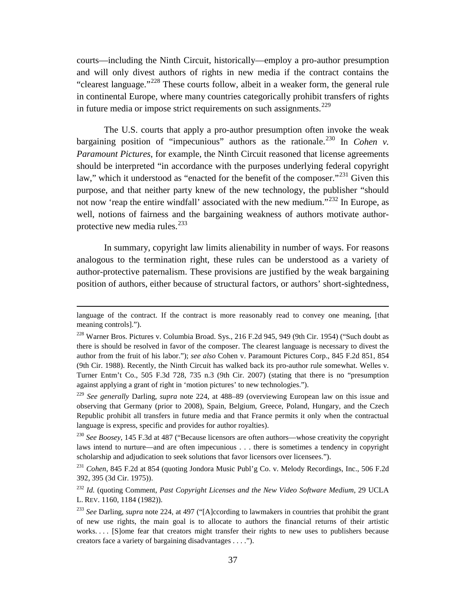courts—including the Ninth Circuit, historically—employ a pro-author presumption and will only divest authors of rights in new media if the contract contains the "clearest language."[228](#page-37-2) These courts follow, albeit in a weaker form, the general rule in continental Europe, where many countries categorically prohibit transfers of rights in future media or impose strict requirements on such assignments.<sup>[229](#page-37-3)</sup>

<span id="page-37-0"></span>The U.S. courts that apply a pro-author presumption often invoke the weak bargaining position of "impecunious" authors as the rationale.<sup>[230](#page-37-4)</sup> In *Cohen v*. *Paramount Pictures*, for example, the Ninth Circuit reasoned that license agreements should be interpreted "in accordance with the purposes underlying federal copyright law," which it understood as "enacted for the benefit of the composer."<sup>[231](#page-37-5)</sup> Given this purpose, and that neither party knew of the new technology, the publisher "should not now 'reap the entire windfall' associated with the new medium."[232](#page-37-6) In Europe, as well, notions of fairness and the bargaining weakness of authors motivate authorprotective new media rules. $^{233}$  $^{233}$  $^{233}$ 

<span id="page-37-1"></span>In summary, copyright law limits alienability in number of ways. For reasons analogous to the termination right, these rules can be understood as a variety of author-protective paternalism. These provisions are justified by the weak bargaining position of authors, either because of structural factors, or authors' short-sightedness,

<u>.</u>

language of the contract. If the contract is more reasonably read to convey one meaning, [that meaning controls].").

<span id="page-37-2"></span><sup>228</sup> Warner Bros. Pictures v. Columbia Broad. Sys., 216 F.2d 945, 949 (9th Cir. 1954) ("Such doubt as there is should be resolved in favor of the composer. The clearest language is necessary to divest the author from the fruit of his labor."); *see also* Cohen v. Paramount Pictures Corp., 845 F.2d 851, 854 (9th Cir. 1988). Recently, the Ninth Circuit has walked back its pro-author rule somewhat. Welles v. Turner Entm't Co., 505 F.3d 728, 735 n.3 (9th Cir. 2007) (stating that there is no "presumption against applying a grant of right in 'motion pictures' to new technologies.").

<span id="page-37-3"></span><sup>229</sup> *See generally* Darling, *supra* note [224,](#page-36-1) at 488–89 (overviewing European law on this issue and observing that Germany (prior to 2008), Spain, Belgium, Greece, Poland, Hungary, and the Czech Republic prohibit all transfers in future media and that France permits it only when the contractual language is express, specific and provides for author royalties).

<span id="page-37-4"></span><sup>230</sup> *See Boosey*, 145 F.3d at 487 ("Because licensors are often authors—whose creativity the copyright laws intend to nurture—and are often impecunious . . . there is sometimes a tendency in copyright scholarship and adjudication to seek solutions that favor licensors over licensees.").

<span id="page-37-5"></span><sup>231</sup> *Cohen*, 845 F.2d at 854 (quoting Jondora Music Publ'g Co. v. Melody Recordings, Inc., 506 F.2d 392, 395 (3d Cir. 1975)).

<span id="page-37-6"></span><sup>232</sup> *Id.* (quoting Comment*, Past Copyright Licenses and the New Video Software Medium*, 29 UCLA L. REV. 1160, 1184 (1982)).

<span id="page-37-7"></span><sup>&</sup>lt;sup>233</sup> See Darling, *supra* note [224,](#page-36-1) at 497 ("[A]ccording to lawmakers in countries that prohibit the grant of new use rights, the main goal is to allocate to authors the financial returns of their artistic works.... [S]ome fear that creators might transfer their rights to new uses to publishers because creators face a variety of bargaining disadvantages . . . .").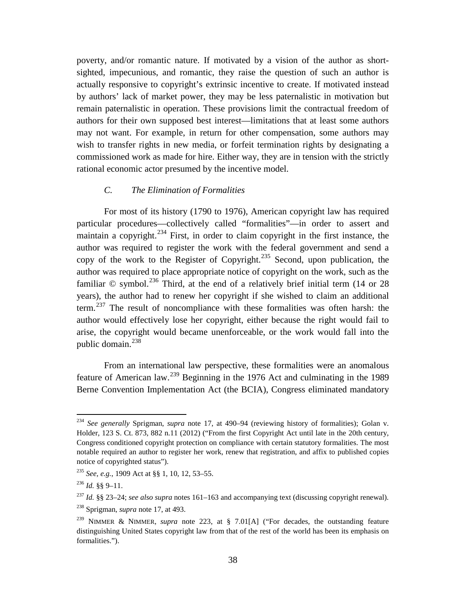poverty, and/or romantic nature. If motivated by a vision of the author as shortsighted, impecunious, and romantic, they raise the question of such an author is actually responsive to copyright's extrinsic incentive to create. If motivated instead by authors' lack of market power, they may be less paternalistic in motivation but remain paternalistic in operation. These provisions limit the contractual freedom of authors for their own supposed best interest—limitations that at least some authors may not want. For example, in return for other compensation, some authors may wish to transfer rights in new media, or forfeit termination rights by designating a commissioned work as made for hire. Either way, they are in tension with the strictly rational economic actor presumed by the incentive model.

## *C. The Elimination of Formalities*

<span id="page-38-0"></span>For most of its history (1790 to 1976), American copyright law has required particular procedures—collectively called "formalities"—in order to assert and maintain a copyright.<sup>[234](#page-38-1)</sup> First, in order to claim copyright in the first instance, the author was required to register the work with the federal government and send a copy of the work to the Register of Copyright.<sup>[235](#page-38-2)</sup> Second, upon publication, the author was required to place appropriate notice of copyright on the work, such as the familiar  $\odot$  symbol.<sup>[236](#page-38-3)</sup> Third, at the end of a relatively brief initial term (14 or 28) years), the author had to renew her copyright if she wished to claim an additional term.[237](#page-38-4) The result of noncompliance with these formalities was often harsh: the author would effectively lose her copyright, either because the right would fail to arise, the copyright would became unenforceable, or the work would fall into the public domain. $^{238}$  $^{238}$  $^{238}$ 

From an international law perspective, these formalities were an anomalous feature of American law.[239](#page-38-6) Beginning in the 1976 Act and culminating in the 1989 Berne Convention Implementation Act (the BCIA), Congress eliminated mandatory

<span id="page-38-1"></span> <sup>234</sup> *See generally* Sprigman, *supra* note [17,](#page-3-1) at 490–94 (reviewing history of formalities); Golan v. Holder, 123 S. Ct. 873, 882 n.11 (2012) ("From the first Copyright Act until late in the 20th century, Congress conditioned copyright protection on compliance with certain statutory formalities. The most notable required an author to register her work, renew that registration, and affix to published copies notice of copyrighted status").

<span id="page-38-2"></span><sup>235</sup> *See, e.g.*, 1909 Act at §§ 1, 10, 12, 53–55.

<span id="page-38-3"></span> $^{236}$  *Id.* §§ 9–11.

<span id="page-38-5"></span><span id="page-38-4"></span><sup>237</sup> *Id.* §§ 23–24; *see also supra* notes [161–](#page-27-1)[163](#page-27-7) and accompanying text (discussing copyright renewal). <sup>238</sup> Sprigman, *supra* note [17,](#page-3-1) at 493.

<span id="page-38-6"></span><sup>239</sup> NIMMER & NIMMER*, supra* note [223,](#page-36-9) at § 7.01[A] ("For decades, the outstanding feature distinguishing United States copyright law from that of the rest of the world has been its emphasis on formalities.").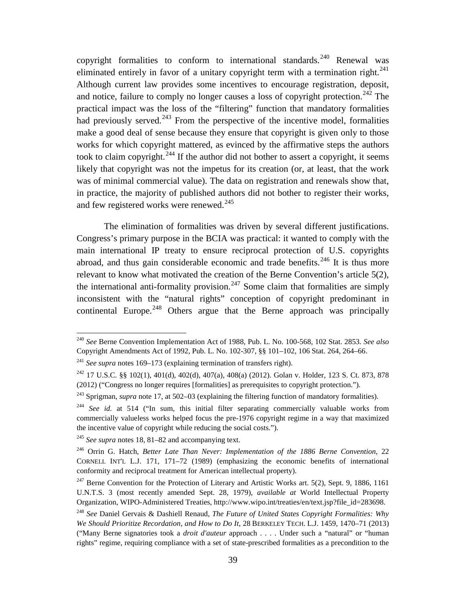copyright formalities to conform to international standards.<sup>[240](#page-39-0)</sup> Renewal was eliminated entirely in favor of a unitary copyright term with a termination right.<sup>[241](#page-39-1)</sup> Although current law provides some incentives to encourage registration, deposit, and notice, failure to comply no longer causes a loss of copyright protection.<sup>[242](#page-39-2)</sup> The practical impact was the loss of the "filtering" function that mandatory formalities had previously served.<sup>[243](#page-39-3)</sup> From the perspective of the incentive model, formalities make a good deal of sense because they ensure that copyright is given only to those works for which copyright mattered, as evinced by the affirmative steps the authors took to claim copyright.<sup>[244](#page-39-4)</sup> If the author did not bother to assert a copyright, it seems likely that copyright was not the impetus for its creation (or, at least, that the work was of minimal commercial value). The data on registration and renewals show that, in practice, the majority of published authors did not bother to register their works, and few registered works were renewed.<sup>[245](#page-39-5)</sup>

The elimination of formalities was driven by several different justifications. Congress's primary purpose in the BCIA was practical: it wanted to comply with the main international IP treaty to ensure reciprocal protection of U.S. copyrights abroad, and thus gain considerable economic and trade benefits.<sup>[246](#page-39-6)</sup> It is thus more relevant to know what motivated the creation of the Berne Convention's article 5(2), the international anti-formality provision.<sup>[247](#page-39-7)</sup> Some claim that formalities are simply inconsistent with the "natural rights" conception of copyright predominant in continental Europe.<sup>[248](#page-39-8)</sup> Others argue that the Berne approach was principally

<span id="page-39-0"></span> <sup>240</sup> *See* Berne Convention Implementation Act of 1988, Pub. L. No. 100-568, 102 Stat. 2853. *See also* Copyright Amendments Act of 1992, Pub. L. No. 102-307, §§ 101–102, 106 Stat. 264, 264–66.

<span id="page-39-1"></span><sup>241</sup> *See supra* notes [169–](#page-28-9)[173](#page-29-11) (explaining termination of transfers right).

<span id="page-39-2"></span><sup>&</sup>lt;sup>242</sup> 17 U.S.C. §§ 102(1), 401(d), 402(d), 407(a), 408(a) (2012). Golan v. Holder, 123 S. Ct. 873, 878 (2012) ("Congress no longer requires [formalities] as prerequisites to copyright protection.").

<span id="page-39-3"></span><sup>243</sup> Sprigman, *supra* note [17,](#page-3-1) at 502–03 (explaining the filtering function of mandatory formalities).

<span id="page-39-4"></span><sup>&</sup>lt;sup>244</sup> *See id.* at 514 ("In sum, this initial filter separating commercially valuable works from commercially valueless works helped focus the pre-1976 copyright regime in a way that maximized the incentive value of copyright while reducing the social costs.").

<span id="page-39-5"></span><sup>245</sup> *See supra* notes [18,](#page-3-10) [81–](#page-14-8)[82](#page-14-9) and accompanying text.

<span id="page-39-6"></span><sup>246</sup> Orrin G. Hatch, *Better Late Than Never: Implementation of the 1886 Berne Convention*, 22 CORNELL INT'L L.J. 171, 171–72 (1989) (emphasizing the economic benefits of international conformity and reciprocal treatment for American intellectual property).

<span id="page-39-7"></span><sup>&</sup>lt;sup>247</sup> Berne Convention for the Protection of Literary and Artistic Works art. 5(2), Sept. 9, 1886, 1161 U.N.T.S. 3 (most recently amended Sept. 28, 1979), *available at* World Intellectual Property Organization, WIPO-Administered Treaties, http://www.wipo.int/treaties/en/text.jsp?file\_id=283698.

<span id="page-39-8"></span><sup>248</sup> *See* Daniel Gervais & Dashiell Renaud, *The Future of United States Copyright Formalities: Why We Should Prioritize Recordation, and How to Do It*, 28 BERKELEY TECH. L.J. 1459, 1470–71 (2013) ("Many Berne signatories took a *droit d'auteur* approach . . . . Under such a "natural" or "human rights" regime, requiring compliance with a set of state-prescribed formalities as a precondition to the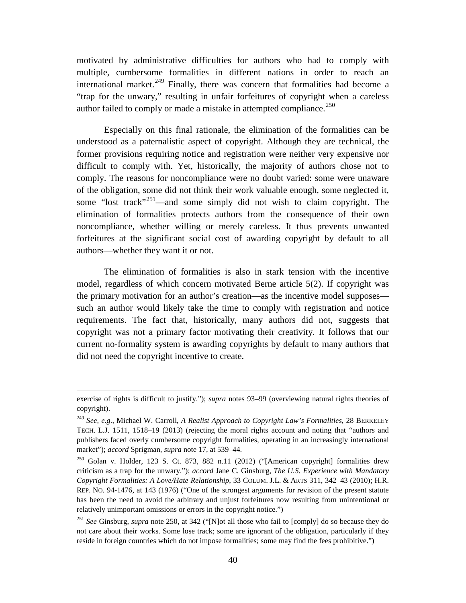motivated by administrative difficulties for authors who had to comply with multiple, cumbersome formalities in different nations in order to reach an international market.<sup>[249](#page-40-1)</sup> Finally, there was concern that formalities had become a "trap for the unwary," resulting in unfair forfeitures of copyright when a careless author failed to comply or made a mistake in attempted compliance.<sup>[250](#page-40-2)</sup>

<span id="page-40-0"></span>Especially on this final rationale, the elimination of the formalities can be understood as a paternalistic aspect of copyright. Although they are technical, the former provisions requiring notice and registration were neither very expensive nor difficult to comply with. Yet, historically, the majority of authors chose not to comply. The reasons for noncompliance were no doubt varied: some were unaware of the obligation, some did not think their work valuable enough, some neglected it, some "lost track"<sup>251</sup>—and some simply did not wish to claim copyright. The elimination of formalities protects authors from the consequence of their own noncompliance, whether willing or merely careless. It thus prevents unwanted forfeitures at the significant social cost of awarding copyright by default to all authors—whether they want it or not.

The elimination of formalities is also in stark tension with the incentive model, regardless of which concern motivated Berne article 5(2). If copyright was the primary motivation for an author's creation—as the incentive model supposes such an author would likely take the time to comply with registration and notice requirements. The fact that, historically, many authors did not, suggests that copyright was not a primary factor motivating their creativity. It follows that our current no-formality system is awarding copyrights by default to many authors that did not need the copyright incentive to create.

<u>.</u>

exercise of rights is difficult to justify."); *supra* notes [93](#page-16-0)[–99](#page-16-9) (overviewing natural rights theories of copyright).

<span id="page-40-1"></span><sup>249</sup> *See, e.g.*, Michael W. Carroll, *A Realist Approach to Copyright Law's Formalities*, 28 BERKELEY TECH. L.J. 1511, 1518–19 (2013) (rejecting the moral rights account and noting that "authors and publishers faced overly cumbersome copyright formalities, operating in an increasingly international market"); *accord* Sprigman, *supra* note [17,](#page-3-1) at 539–44.

<span id="page-40-2"></span><sup>250</sup> Golan v. Holder, 123 S. Ct. 873, 882 n.11 (2012) ("[American copyright] formalities drew criticism as a trap for the unwary."); *accord* Jane C. Ginsburg, *The U.S. Experience with Mandatory Copyright Formalities: A Love/Hate Relationship*, 33 COLUM. J.L. & ARTS 311, 342–43 (2010); H.R. REP. NO. 94-1476, at 143 (1976) ("One of the strongest arguments for revision of the present statute has been the need to avoid the arbitrary and unjust forfeitures now resulting from unintentional or relatively unimportant omissions or errors in the copyright notice.")

<span id="page-40-3"></span><sup>251</sup> *See* Ginsburg, *supra* note [250,](#page-40-0) at 342 ("[N]ot all those who fail to [comply] do so because they do not care about their works. Some lose track; some are ignorant of the obligation, particularly if they reside in foreign countries which do not impose formalities; some may find the fees prohibitive.")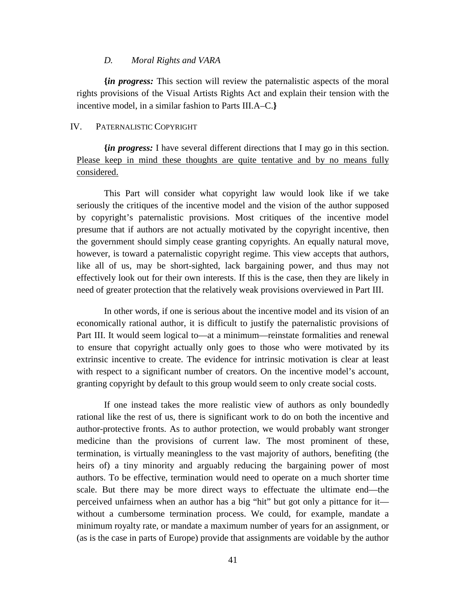#### *D. Moral Rights and VARA*

<span id="page-41-0"></span>**{***in progress:* This section will review the paternalistic aspects of the moral rights provisions of the Visual Artists Rights Act and explain their tension with the incentive model, in a similar fashion to Parts III.A–C.**}**

## <span id="page-41-1"></span>IV. PATERNALISTIC COPYRIGHT

**{***in progress:* I have several different directions that I may go in this section. Please keep in mind these thoughts are quite tentative and by no means fully considered.

This Part will consider what copyright law would look like if we take seriously the critiques of the incentive model and the vision of the author supposed by copyright's paternalistic provisions. Most critiques of the incentive model presume that if authors are not actually motivated by the copyright incentive, then the government should simply cease granting copyrights. An equally natural move, however, is toward a paternalistic copyright regime. This view accepts that authors, like all of us, may be short-sighted, lack bargaining power, and thus may not effectively look out for their own interests. If this is the case, then they are likely in need of greater protection that the relatively weak provisions overviewed in Part III.

In other words, if one is serious about the incentive model and its vision of an economically rational author, it is difficult to justify the paternalistic provisions of Part III. It would seem logical to—at a minimum—reinstate formalities and renewal to ensure that copyright actually only goes to those who were motivated by its extrinsic incentive to create. The evidence for intrinsic motivation is clear at least with respect to a significant number of creators. On the incentive model's account, granting copyright by default to this group would seem to only create social costs.

If one instead takes the more realistic view of authors as only boundedly rational like the rest of us, there is significant work to do on both the incentive and author-protective fronts. As to author protection, we would probably want stronger medicine than the provisions of current law. The most prominent of these, termination, is virtually meaningless to the vast majority of authors, benefiting (the heirs of) a tiny minority and arguably reducing the bargaining power of most authors. To be effective, termination would need to operate on a much shorter time scale. But there may be more direct ways to effectuate the ultimate end—the perceived unfairness when an author has a big "hit" but got only a pittance for it without a cumbersome termination process. We could, for example, mandate a minimum royalty rate, or mandate a maximum number of years for an assignment, or (as is the case in parts of Europe) provide that assignments are voidable by the author